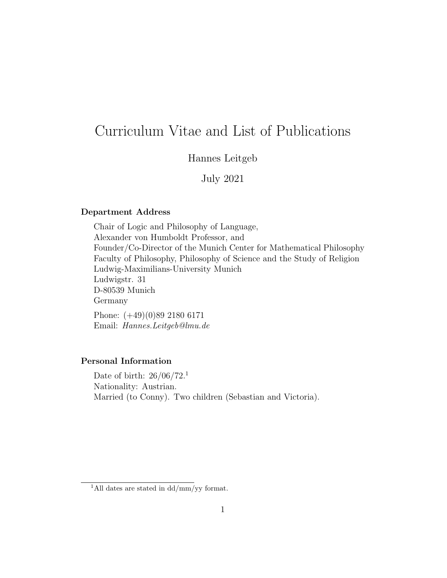# Curriculum Vitae and List of Publications

# Hannes Leitgeb

July 2021

# Department Address

Chair of Logic and Philosophy of Language, Alexander von Humboldt Professor, and Founder/Co-Director of the Munich Center for Mathematical Philosophy Faculty of Philosophy, Philosophy of Science and the Study of Religion Ludwig-Maximilians-University Munich Ludwigstr. 31 D-80539 Munich Germany

Phone: (+49)(0)89 2180 6171 Email: Hannes.Leitgeb@lmu.de

# Personal Information

Date of birth:  $26/06/72$ <sup>1</sup> Nationality: Austrian. Married (to Conny). Two children (Sebastian and Victoria).

<sup>&</sup>lt;sup>1</sup>All dates are stated in dd/mm/yy format.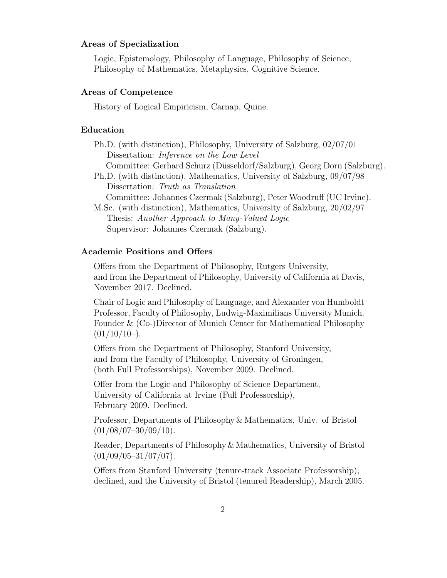# Areas of Specialization

Logic, Epistemology, Philosophy of Language, Philosophy of Science, Philosophy of Mathematics, Metaphysics, Cognitive Science.

### Areas of Competence

History of Logical Empiricism, Carnap, Quine.

#### Education

Ph.D. (with distinction), Philosophy, University of Salzburg, 02/07/01 Dissertation: Inference on the Low Level

Committee: Gerhard Schurz (Düsseldorf/Salzburg), Georg Dorn (Salzburg).

- Ph.D. (with distinction), Mathematics, University of Salzburg, 09/07/98 Dissertation: Truth as Translation
	- Committee: Johannes Czermak (Salzburg), Peter Woodruff (UC Irvine).
- M.Sc. (with distinction), Mathematics, University of Salzburg, 20/02/97 Thesis: Another Approach to Many-Valued Logic Supervisor: Johannes Czermak (Salzburg).

#### Academic Positions and Offers

Offers from the Department of Philosophy, Rutgers University, and from the Department of Philosophy, University of California at Davis, November 2017. Declined.

Chair of Logic and Philosophy of Language, and Alexander von Humboldt Professor, Faculty of Philosophy, Ludwig-Maximilians University Munich. Founder & (Co-)Director of Munich Center for Mathematical Philosophy  $(01/10/10)$ .

Offers from the Department of Philosophy, Stanford University, and from the Faculty of Philosophy, University of Groningen, (both Full Professorships), November 2009. Declined.

Offer from the Logic and Philosophy of Science Department, University of California at Irvine (Full Professorship), February 2009. Declined.

Professor, Departments of Philosophy & Mathematics, Univ. of Bristol  $(01/08/07-30/09/10).$ 

Reader, Departments of Philosophy & Mathematics, University of Bristol  $(01/09/05-31/07/07)$ .

Offers from Stanford University (tenure-track Associate Professorship), declined, and the University of Bristol (tenured Readership), March 2005.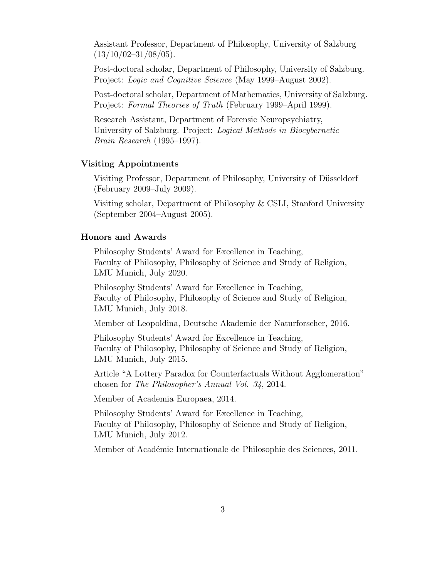Assistant Professor, Department of Philosophy, University of Salzburg  $(13/10/02-31/08/05)$ .

Post-doctoral scholar, Department of Philosophy, University of Salzburg. Project: *Logic and Cognitive Science* (May 1999–August 2002).

Post-doctoral scholar, Department of Mathematics, University of Salzburg. Project: Formal Theories of Truth (February 1999–April 1999).

Research Assistant, Department of Forensic Neuropsychiatry, University of Salzburg. Project: Logical Methods in Biocybernetic Brain Research (1995–1997).

#### Visiting Appointments

Visiting Professor, Department of Philosophy, University of Düsseldorf (February 2009–July 2009).

Visiting scholar, Department of Philosophy & CSLI, Stanford University (September 2004–August 2005).

# Honors and Awards

Philosophy Students' Award for Excellence in Teaching, Faculty of Philosophy, Philosophy of Science and Study of Religion, LMU Munich, July 2020.

Philosophy Students' Award for Excellence in Teaching, Faculty of Philosophy, Philosophy of Science and Study of Religion, LMU Munich, July 2018.

Member of Leopoldina, Deutsche Akademie der Naturforscher, 2016.

Philosophy Students' Award for Excellence in Teaching, Faculty of Philosophy, Philosophy of Science and Study of Religion, LMU Munich, July 2015.

Article "A Lottery Paradox for Counterfactuals Without Agglomeration" chosen for The Philosopher's Annual Vol. 34, 2014.

Member of Academia Europaea, 2014.

Philosophy Students' Award for Excellence in Teaching, Faculty of Philosophy, Philosophy of Science and Study of Religion, LMU Munich, July 2012.

Member of Académie Internationale de Philosophie des Sciences, 2011.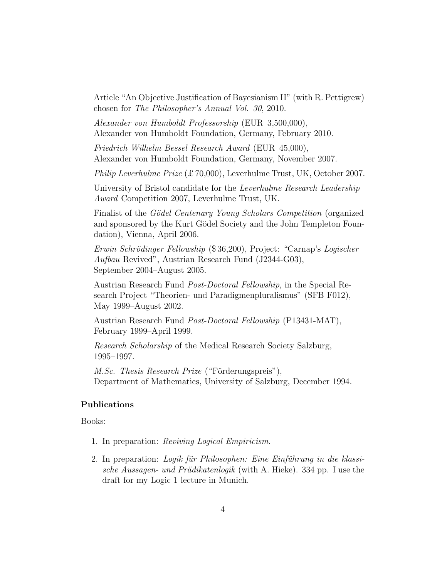Article "An Objective Justification of Bayesianism II" (with R. Pettigrew) chosen for The Philosopher's Annual Vol. 30, 2010.

Alexander von Humboldt Professorship (EUR 3,500,000), Alexander von Humboldt Foundation, Germany, February 2010.

Friedrich Wilhelm Bessel Research Award (EUR 45,000), Alexander von Humboldt Foundation, Germany, November 2007.

Philip Leverhulme Prize (£70,000), Leverhulme Trust, UK, October 2007.

University of Bristol candidate for the Leverhulme Research Leadership Award Competition 2007, Leverhulme Trust, UK.

Finalist of the *Gödel Centenary Young Scholars Competition* (organized) and sponsored by the Kurt Gödel Society and the John Templeton Foundation), Vienna, April 2006.

Erwin Schrödinger Fellowship (\$36,200), Project: "Carnap's Logischer Aufbau Revived", Austrian Research Fund (J2344-G03), September 2004–August 2005.

Austrian Research Fund Post-Doctoral Fellowship, in the Special Research Project "Theorien- und Paradigmenpluralismus" (SFB F012), May 1999–August 2002.

Austrian Research Fund Post-Doctoral Fellowship (P13431-MAT), February 1999–April 1999.

Research Scholarship of the Medical Research Society Salzburg, 1995–1997.

*M.Sc. Thesis Research Prize* ("Förderungspreis"), Department of Mathematics, University of Salzburg, December 1994.

# Publications

# Books:

- 1. In preparation: Reviving Logical Empiricism.
- 2. In preparation: Logik für Philosophen: Eine Einführung in die klassische Aussagen- und Prädikatenlogik (with A. Hieke). 334 pp. I use the draft for my Logic 1 lecture in Munich.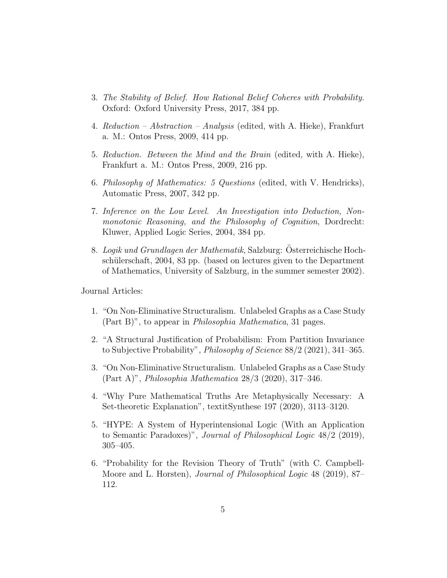- 3. The Stability of Belief. How Rational Belief Coheres with Probability. Oxford: Oxford University Press, 2017, 384 pp.
- 4. Reduction Abstraction Analysis (edited, with A. Hieke), Frankfurt a. M.: Ontos Press, 2009, 414 pp.
- 5. Reduction. Between the Mind and the Brain (edited, with A. Hieke), Frankfurt a. M.: Ontos Press, 2009, 216 pp.
- 6. Philosophy of Mathematics: 5 Questions (edited, with V. Hendricks), Automatic Press, 2007, 342 pp.
- 7. Inference on the Low Level. An Investigation into Deduction, Nonmonotonic Reasoning, and the Philosophy of Cognition, Dordrecht: Kluwer, Applied Logic Series, 2004, 384 pp.
- 8. Logik und Grundlagen der Mathematik, Salzburg: Österreichische Hochschülerschaft, 2004, 83 pp. (based on lectures given to the Department of Mathematics, University of Salzburg, in the summer semester 2002).

Journal Articles:

- 1. "On Non-Eliminative Structuralism. Unlabeled Graphs as a Case Study (Part B)", to appear in Philosophia Mathematica, 31 pages.
- 2. "A Structural Justification of Probabilism: From Partition Invariance to Subjective Probability", Philosophy of Science 88/2 (2021), 341–365.
- 3. "On Non-Eliminative Structuralism. Unlabeled Graphs as a Case Study (Part A)", Philosophia Mathematica 28/3 (2020), 317–346.
- 4. "Why Pure Mathematical Truths Are Metaphysically Necessary: A Set-theoretic Explanation", textitSynthese 197 (2020), 3113–3120.
- 5. "HYPE: A System of Hyperintensional Logic (With an Application to Semantic Paradoxes)", Journal of Philosophical Logic 48/2 (2019), 305–405.
- 6. "Probability for the Revision Theory of Truth" (with C. Campbell-Moore and L. Horsten), Journal of Philosophical Logic 48 (2019), 87– 112.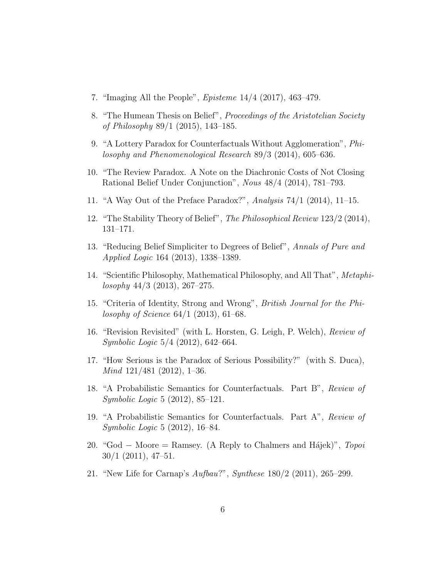- 7. "Imaging All the People", Episteme 14/4 (2017), 463–479.
- 8. "The Humean Thesis on Belief", Proceedings of the Aristotelian Society of Philosophy 89/1 (2015), 143–185.
- 9. "A Lottery Paradox for Counterfactuals Without Agglomeration", Philosophy and Phenomenological Research 89/3 (2014), 605–636.
- 10. "The Review Paradox. A Note on the Diachronic Costs of Not Closing Rational Belief Under Conjunction", Nous 48/4 (2014), 781–793.
- 11. "A Way Out of the Preface Paradox?", Analysis 74/1 (2014), 11–15.
- 12. "The Stability Theory of Belief", The Philosophical Review 123/2 (2014), 131–171.
- 13. "Reducing Belief Simpliciter to Degrees of Belief", Annals of Pure and Applied Logic 164 (2013), 1338–1389.
- 14. "Scientific Philosophy, Mathematical Philosophy, and All That", Metaphi $losophy$  44/3 (2013), 267–275.
- 15. "Criteria of Identity, Strong and Wrong", British Journal for the Philosophy of Science 64/1 (2013), 61–68.
- 16. "Revision Revisited" (with L. Horsten, G. Leigh, P. Welch), Review of Symbolic Logic 5/4 (2012), 642–664.
- 17. "How Serious is the Paradox of Serious Possibility?" (with S. Duca), Mind 121/481 (2012), 1–36.
- 18. "A Probabilistic Semantics for Counterfactuals. Part B", Review of Symbolic Logic 5 (2012), 85–121.
- 19. "A Probabilistic Semantics for Counterfactuals. Part A", Review of Symbolic Logic 5 (2012), 16–84.
- 20. "God − Moore = Ramsey. (A Reply to Chalmers and Hájek)", Topoi 30/1 (2011), 47–51.
- 21. "New Life for Carnap's Aufbau?", Synthese 180/2 (2011), 265–299.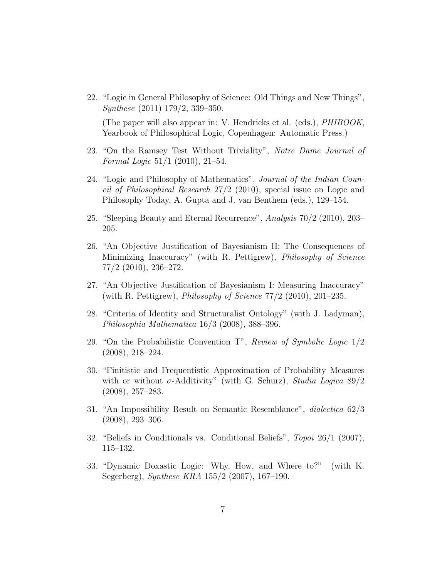22. "Logic in General Philosophy of Science: Old Things and New Things", Synthese (2011) 179/2, 339–350.

(The paper will also appear in: V. Hendricks et al. (eds.), PHIBOOK, Yearbook of Philosophical Logic, Copenhagen: Automatic Press.)

- 23. "On the Ramsey Test Without Triviality", Notre Dame Journal of Formal Logic 51/1 (2010), 21–54.
- 24. "Logic and Philosophy of Mathematics", Journal of the Indian Council of Philosophical Research 27/2 (2010), special issue on Logic and Philosophy Today, A. Gupta and J. van Benthem (eds.), 129–154.
- 25. "Sleeping Beauty and Eternal Recurrence", Analysis 70/2 (2010), 203– 205.
- 26. "An Objective Justification of Bayesianism II: The Consequences of Minimizing Inaccuracy" (with R. Pettigrew), Philosophy of Science 77/2 (2010), 236–272.
- 27. "An Objective Justification of Bayesianism I: Measuring Inaccuracy" (with R. Pettigrew), *Philosophy of Science*  $77/2$  (2010), 201–235.
- 28. "Criteria of Identity and Structuralist Ontology" (with J. Ladyman), Philosophia Mathematica 16/3 (2008), 388–396.
- 29. "On the Probabilistic Convention T", Review of Symbolic Logic 1/2 (2008), 218–224.
- 30. "Finitistic and Frequentistic Approximation of Probability Measures with or without  $\sigma$ -Additivity" (with G. Schurz), Studia Logica 89/2 (2008), 257–283.
- 31. "An Impossibility Result on Semantic Resemblance", dialectica 62/3 (2008), 293–306.
- 32. "Beliefs in Conditionals vs. Conditional Beliefs", Topoi 26/1 (2007), 115–132.
- 33. "Dynamic Doxastic Logic: Why, How, and Where to?" (with K. Segerberg), Synthese KRA 155/2 (2007), 167–190.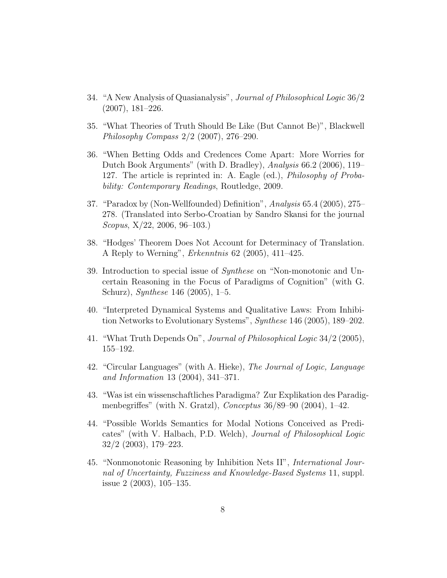- 34. "A New Analysis of Quasianalysis", Journal of Philosophical Logic 36/2 (2007), 181–226.
- 35. "What Theories of Truth Should Be Like (But Cannot Be)", Blackwell Philosophy Compass 2/2 (2007), 276–290.
- 36. "When Betting Odds and Credences Come Apart: More Worries for Dutch Book Arguments" (with D. Bradley), Analysis 66.2 (2006), 119– 127. The article is reprinted in: A. Eagle (ed.), Philosophy of Probability: Contemporary Readings, Routledge, 2009.
- 37. "Paradox by (Non-Wellfounded) Definition", Analysis 65.4 (2005), 275– 278. (Translated into Serbo-Croatian by Sandro Skansi for the journal Scopus, X/22, 2006, 96–103.)
- 38. "Hodges' Theorem Does Not Account for Determinacy of Translation. A Reply to Werning", Erkenntnis 62 (2005), 411–425.
- 39. Introduction to special issue of Synthese on "Non-monotonic and Uncertain Reasoning in the Focus of Paradigms of Cognition" (with G. Schurz), Synthese 146 (2005), 1–5.
- 40. "Interpreted Dynamical Systems and Qualitative Laws: From Inhibition Networks to Evolutionary Systems", Synthese 146 (2005), 189–202.
- 41. "What Truth Depends On", Journal of Philosophical Logic 34/2 (2005), 155–192.
- 42. "Circular Languages" (with A. Hieke), The Journal of Logic, Language and Information 13 (2004), 341–371.
- 43. "Was ist ein wissenschaftliches Paradigma? Zur Explikation des Paradigmenbegriffes" (with N. Gratzl), *Conceptus*  $36/89-90$  (2004), 1-42.
- 44. "Possible Worlds Semantics for Modal Notions Conceived as Predicates" (with V. Halbach, P.D. Welch), Journal of Philosophical Logic 32/2 (2003), 179–223.
- 45. "Nonmonotonic Reasoning by Inhibition Nets II", International Journal of Uncertainty, Fuzziness and Knowledge-Based Systems 11, suppl. issue 2 (2003), 105–135.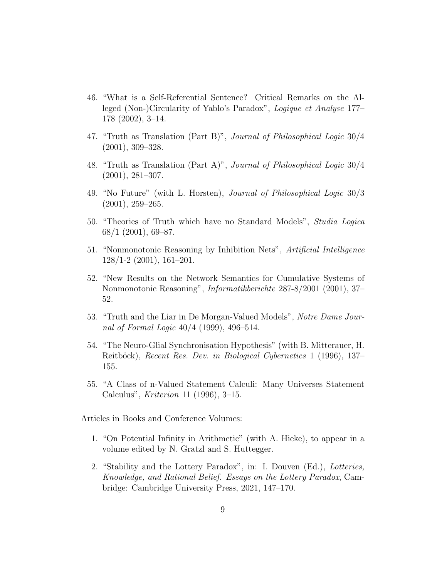- 46. "What is a Self-Referential Sentence? Critical Remarks on the Alleged (Non-)Circularity of Yablo's Paradox", Logique et Analyse 177– 178 (2002), 3–14.
- 47. "Truth as Translation (Part B)", Journal of Philosophical Logic 30/4 (2001), 309–328.
- 48. "Truth as Translation (Part A)", Journal of Philosophical Logic 30/4 (2001), 281–307.
- 49. "No Future" (with L. Horsten), Journal of Philosophical Logic 30/3 (2001), 259–265.
- 50. "Theories of Truth which have no Standard Models", Studia Logica  $68/1$  (2001), 69–87.
- 51. "Nonmonotonic Reasoning by Inhibition Nets", Artificial Intelligence 128/1-2 (2001), 161–201.
- 52. "New Results on the Network Semantics for Cumulative Systems of Nonmonotonic Reasoning", Informatikberichte 287-8/2001 (2001), 37– 52.
- 53. "Truth and the Liar in De Morgan-Valued Models", Notre Dame Journal of Formal Logic 40/4 (1999), 496–514.
- 54. "The Neuro-Glial Synchronisation Hypothesis" (with B. Mitterauer, H. Reitböck), Recent Res. Dev. in Biological Cybernetics 1 (1996), 137– 155.
- 55. "A Class of n-Valued Statement Calculi: Many Universes Statement Calculus", Kriterion 11 (1996), 3–15.

Articles in Books and Conference Volumes:

- 1. "On Potential Infinity in Arithmetic" (with A. Hieke), to appear in a volume edited by N. Gratzl and S. Huttegger.
- 2. "Stability and the Lottery Paradox", in: I. Douven (Ed.), Lotteries, Knowledge, and Rational Belief. Essays on the Lottery Paradox, Cambridge: Cambridge University Press, 2021, 147–170.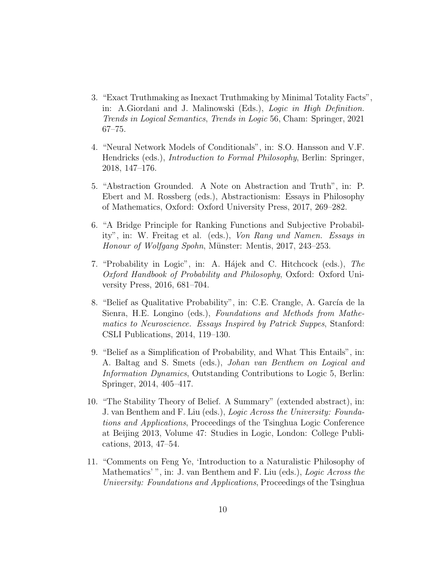- 3. "Exact Truthmaking as Inexact Truthmaking by Minimal Totality Facts", in: A.Giordani and J. Malinowski (Eds.), Logic in High Definition. Trends in Logical Semantics, Trends in Logic 56, Cham: Springer, 2021 67–75.
- 4. "Neural Network Models of Conditionals", in: S.O. Hansson and V.F. Hendricks (eds.), Introduction to Formal Philosophy, Berlin: Springer, 2018, 147–176.
- 5. "Abstraction Grounded. A Note on Abstraction and Truth", in: P. Ebert and M. Rossberg (eds.), Abstractionism: Essays in Philosophy of Mathematics, Oxford: Oxford University Press, 2017, 269–282.
- 6. "A Bridge Principle for Ranking Functions and Subjective Probability", in: W. Freitag et al. (eds.), Von Rang und Namen. Essays in Honour of Wolfgang Spohn, Münster: Mentis, 2017, 243–253.
- 7. "Probability in Logic", in: A. Hájek and C. Hitchcock (eds.), The Oxford Handbook of Probability and Philosophy, Oxford: Oxford University Press, 2016, 681–704.
- 8. "Belief as Qualitative Probability", in: C.E. Crangle, A. García de la Sienra, H.E. Longino (eds.), Foundations and Methods from Mathematics to Neuroscience. Essays Inspired by Patrick Suppes, Stanford: CSLI Publications, 2014, 119–130.
- 9. "Belief as a Simplification of Probability, and What This Entails", in: A. Baltag and S. Smets (eds.), Johan van Benthem on Logical and Information Dynamics, Outstanding Contributions to Logic 5, Berlin: Springer, 2014, 405–417.
- 10. "The Stability Theory of Belief. A Summary" (extended abstract), in: J. van Benthem and F. Liu (eds.), Logic Across the University: Foundations and Applications, Proceedings of the Tsinghua Logic Conference at Beijing 2013, Volume 47: Studies in Logic, London: College Publications, 2013, 47–54.
- 11. "Comments on Feng Ye, 'Introduction to a Naturalistic Philosophy of Mathematics' ", in: J. van Benthem and F. Liu (eds.), *Logic Across the* University: Foundations and Applications, Proceedings of the Tsinghua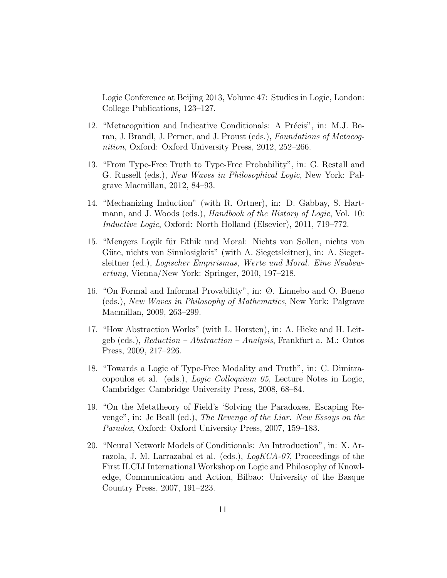Logic Conference at Beijing 2013, Volume 47: Studies in Logic, London: College Publications, 123–127.

- 12. "Metacognition and Indicative Conditionals: A Précis", in: M.J. Beran, J. Brandl, J. Perner, and J. Proust (eds.), Foundations of Metacognition, Oxford: Oxford University Press, 2012, 252–266.
- 13. "From Type-Free Truth to Type-Free Probability", in: G. Restall and G. Russell (eds.), New Waves in Philosophical Logic, New York: Palgrave Macmillan, 2012, 84–93.
- 14. "Mechanizing Induction" (with R. Ortner), in: D. Gabbay, S. Hartmann, and J. Woods (eds.), *Handbook of the History of Logic*, Vol. 10: Inductive Logic, Oxford: North Holland (Elsevier), 2011, 719–772.
- 15. "Mengers Logik für Ethik und Moral: Nichts von Sollen, nichts von Güte, nichts von Sinnlosigkeit" (with A. Siegetsleitner), in: A. Siegetsleitner (ed.), Logischer Empirismus, Werte und Moral. Eine Neubewertung, Vienna/New York: Springer, 2010, 197–218.
- 16. "On Formal and Informal Provability", in: Ø. Linnebo and O. Bueno (eds.), New Waves in Philosophy of Mathematics, New York: Palgrave Macmillan, 2009, 263–299.
- 17. "How Abstraction Works" (with L. Horsten), in: A. Hieke and H. Leitgeb (eds.), Reduction – Abstraction – Analysis, Frankfurt a. M.: Ontos Press, 2009, 217–226.
- 18. "Towards a Logic of Type-Free Modality and Truth", in: C. Dimitracopoulos et al. (eds.), Logic Colloquium 05, Lecture Notes in Logic, Cambridge: Cambridge University Press, 2008, 68–84.
- 19. "On the Metatheory of Field's 'Solving the Paradoxes, Escaping Revenge", in: Jc Beall (ed.), The Revenge of the Liar. New Essays on the Paradox, Oxford: Oxford University Press, 2007, 159–183.
- 20. "Neural Network Models of Conditionals: An Introduction", in: X. Arrazola, J. M. Larrazabal et al. (eds.), LogKCA-07, Proceedings of the First ILCLI International Workshop on Logic and Philosophy of Knowledge, Communication and Action, Bilbao: University of the Basque Country Press, 2007, 191–223.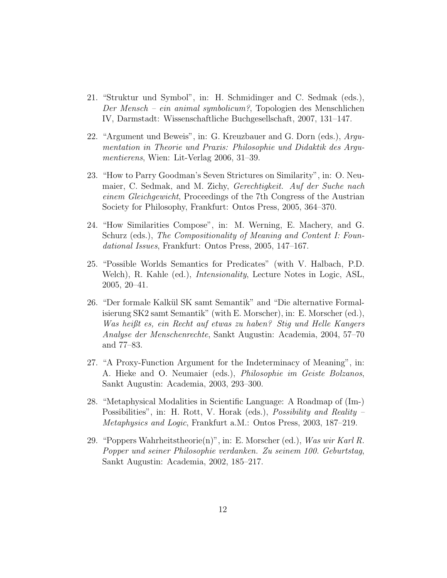- 21. "Struktur und Symbol", in: H. Schmidinger and C. Sedmak (eds.), Der Mensch – ein animal symbolicum?, Topologien des Menschlichen IV, Darmstadt: Wissenschaftliche Buchgesellschaft, 2007, 131–147.
- 22. "Argument und Beweis", in: G. Kreuzbauer and G. Dorn (eds.), Argumentation in Theorie und Praxis: Philosophie und Didaktik des Argumentierens, Wien: Lit-Verlag 2006, 31–39.
- 23. "How to Parry Goodman's Seven Strictures on Similarity", in: O. Neumaier, C. Sedmak, and M. Zichy, Gerechtigkeit. Auf der Suche nach einem Gleichgewicht, Proceedings of the 7th Congress of the Austrian Society for Philosophy, Frankfurt: Ontos Press, 2005, 364–370.
- 24. "How Similarities Compose", in: M. Werning, E. Machery, and G. Schurz (eds.), The Compositionality of Meaning and Content I: Foundational Issues, Frankfurt: Ontos Press, 2005, 147–167.
- 25. "Possible Worlds Semantics for Predicates" (with V. Halbach, P.D. Welch), R. Kahle (ed.), Intensionality, Lecture Notes in Logic, ASL, 2005, 20–41.
- 26. "Der formale Kalk¨ul SK samt Semantik" and "Die alternative Formalisierung SK2 samt Semantik" (with E. Morscher), in: E. Morscher (ed.), Was heißt es, ein Recht auf etwas zu haben? Stig und Helle Kangers Analyse der Menschenrechte, Sankt Augustin: Academia, 2004, 57–70 and 77–83.
- 27. "A Proxy-Function Argument for the Indeterminacy of Meaning", in: A. Hieke and O. Neumaier (eds.), Philosophie im Geiste Bolzanos, Sankt Augustin: Academia, 2003, 293–300.
- 28. "Metaphysical Modalities in Scientific Language: A Roadmap of (Im-) Possibilities", in: H. Rott, V. Horak (eds.), Possibility and Reality – Metaphysics and Logic, Frankfurt a.M.: Ontos Press, 2003, 187–219.
- 29. "Poppers Wahrheitstheorie $(n)$ ", in: E. Morscher (ed.), Was wir Karl R. Popper und seiner Philosophie verdanken. Zu seinem 100. Geburtstag, Sankt Augustin: Academia, 2002, 185–217.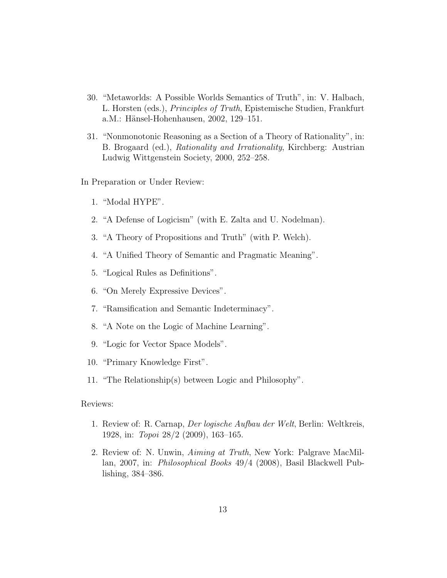- 30. "Metaworlds: A Possible Worlds Semantics of Truth", in: V. Halbach, L. Horsten (eds.), Principles of Truth, Epistemische Studien, Frankfurt a.M.: Hänsel-Hohenhausen, 2002, 129–151.
- 31. "Nonmonotonic Reasoning as a Section of a Theory of Rationality", in: B. Brogaard (ed.), Rationality and Irrationality, Kirchberg: Austrian Ludwig Wittgenstein Society, 2000, 252–258.

In Preparation or Under Review:

- 1. "Modal HYPE".
- 2. "A Defense of Logicism" (with E. Zalta and U. Nodelman).
- 3. "A Theory of Propositions and Truth" (with P. Welch).
- 4. "A Unified Theory of Semantic and Pragmatic Meaning".
- 5. "Logical Rules as Definitions".
- 6. "On Merely Expressive Devices".
- 7. "Ramsification and Semantic Indeterminacy".
- 8. "A Note on the Logic of Machine Learning".
- 9. "Logic for Vector Space Models".
- 10. "Primary Knowledge First".
- 11. "The Relationship(s) between Logic and Philosophy".

# Reviews:

- 1. Review of: R. Carnap, Der logische Aufbau der Welt, Berlin: Weltkreis, 1928, in: Topoi 28/2 (2009), 163–165.
- 2. Review of: N. Unwin, Aiming at Truth, New York: Palgrave MacMillan, 2007, in: Philosophical Books 49/4 (2008), Basil Blackwell Publishing, 384–386.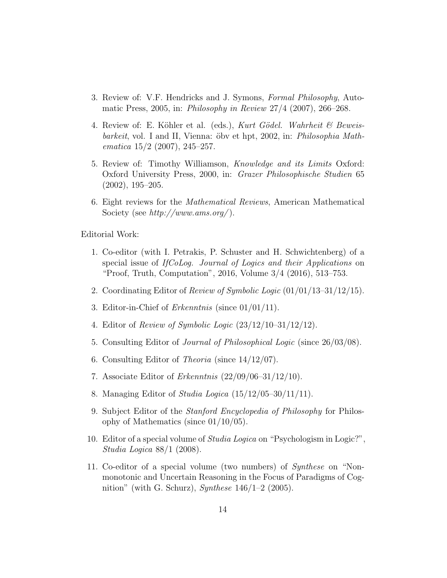- 3. Review of: V.F. Hendricks and J. Symons, Formal Philosophy, Automatic Press, 2005, in: Philosophy in Review 27/4 (2007), 266–268.
- 4. Review of: E. Köhler et al. (eds.), Kurt Gödel. Wahrheit  $\mathcal B$  Beweisbarkeit, vol. I and II, Vienna: öbv et hpt, 2002, in: Philosophia Mathematica  $15/2$  (2007), 245–257.
- 5. Review of: Timothy Williamson, Knowledge and its Limits Oxford: Oxford University Press, 2000, in: Grazer Philosophische Studien 65 (2002), 195–205.
- 6. Eight reviews for the Mathematical Reviews, American Mathematical Society (see  $http://www.ams.org/)$ .

Editorial Work:

- 1. Co-editor (with I. Petrakis, P. Schuster and H. Schwichtenberg) of a special issue of IfCoLog. Journal of Logics and their Applications on "Proof, Truth, Computation", 2016, Volume 3/4 (2016), 513–753.
- 2. Coordinating Editor of Review of Symbolic Logic (01/01/13–31/12/15).
- 3. Editor-in-Chief of *Erkenntnis* (since  $01/01/11$ ).
- 4. Editor of Review of Symbolic Logic (23/12/10–31/12/12).
- 5. Consulting Editor of Journal of Philosophical Logic (since 26/03/08).
- 6. Consulting Editor of Theoria (since 14/12/07).
- 7. Associate Editor of Erkenntnis (22/09/06–31/12/10).
- 8. Managing Editor of *Studia Logica*  $(15/12/05-30/11/11)$ .
- 9. Subject Editor of the Stanford Encyclopedia of Philosophy for Philosophy of Mathematics (since 01/10/05).
- 10. Editor of a special volume of *Studia Logica* on "Psychologism in Logic?", Studia Logica 88/1 (2008).
- 11. Co-editor of a special volume (two numbers) of Synthese on "Nonmonotonic and Uncertain Reasoning in the Focus of Paradigms of Cognition" (with G. Schurz), Synthese  $146/1-2$  (2005).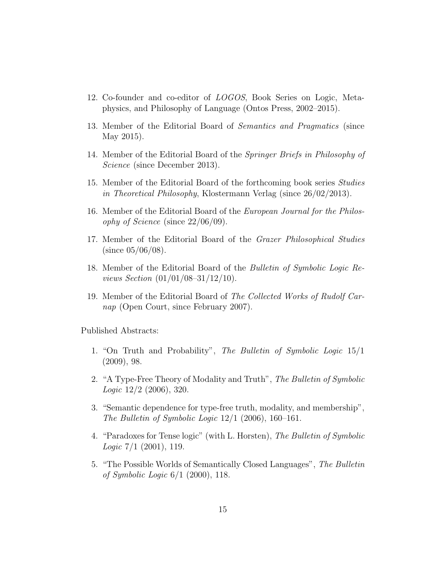- 12. Co-founder and co-editor of LOGOS, Book Series on Logic, Metaphysics, and Philosophy of Language (Ontos Press, 2002–2015).
- 13. Member of the Editorial Board of Semantics and Pragmatics (since May 2015).
- 14. Member of the Editorial Board of the Springer Briefs in Philosophy of Science (since December 2013).
- 15. Member of the Editorial Board of the forthcoming book series Studies in Theoretical Philosophy, Klostermann Verlag (since 26/02/2013).
- 16. Member of the Editorial Board of the European Journal for the Philosophy of Science (since  $22/06/09$ ).
- 17. Member of the Editorial Board of the Grazer Philosophical Studies  $(since 05/06/08).$
- 18. Member of the Editorial Board of the Bulletin of Symbolic Logic Reviews Section (01/01/08–31/12/10).
- 19. Member of the Editorial Board of The Collected Works of Rudolf Carnap (Open Court, since February 2007).

Published Abstracts:

- 1. "On Truth and Probability", The Bulletin of Symbolic Logic 15/1 (2009), 98.
- 2. "A Type-Free Theory of Modality and Truth", The Bulletin of Symbolic  $Logic\ 12/2\ (2006),\ 320.$
- 3. "Semantic dependence for type-free truth, modality, and membership", The Bulletin of Symbolic Logic  $12/1$  (2006), 160–161.
- 4. "Paradoxes for Tense logic" (with L. Horsten), The Bulletin of Symbolic Logic 7/1 (2001), 119.
- 5. "The Possible Worlds of Semantically Closed Languages", The Bulletin of Symbolic Logic 6/1 (2000), 118.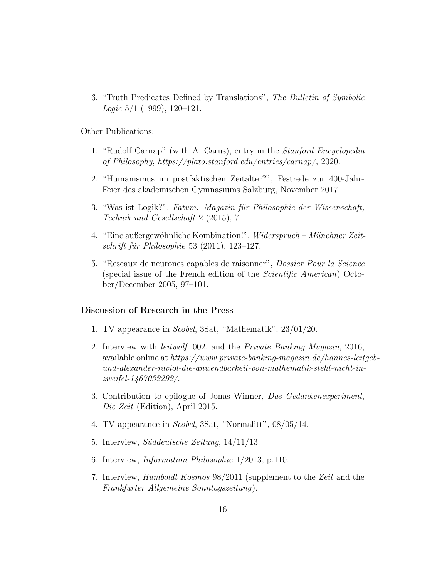6. "Truth Predicates Defined by Translations", The Bulletin of Symbolic *Logic*  $5/1$  (1999), 120–121.

Other Publications:

- 1. "Rudolf Carnap" (with A. Carus), entry in the Stanford Encyclopedia of Philosophy, https://plato.stanford.edu/entries/carnap/, 2020.
- 2. "Humanismus im postfaktischen Zeitalter?", Festrede zur 400-Jahr-Feier des akademischen Gymnasiums Salzburg, November 2017.
- 3. "Was ist Logik?", Fatum. Magazin für Philosophie der Wissenschaft, Technik und Gesellschaft 2 (2015), 7.
- 4. "Eine außergewöhnliche Kombination!", Widerspruch Münchner Zeitschrift für Philosophie 53  $(2011)$ , 123–127.
- 5. "Reseaux de neurones capables de raisonner", Dossier Pour la Science (special issue of the French edition of the *Scientific American*) October/December 2005, 97–101.

#### Discussion of Research in the Press

- 1. TV appearance in Scobel, 3Sat, "Mathematik", 23/01/20.
- 2. Interview with leitwolf, 002, and the Private Banking Magazin, 2016, available online at https://www.private-banking-magazin.de/hannes-leitgeb- $\it{und\text{-}alexander\text{-}raviolet}\rm{}-anwendbarkeit\text{-}von\text{-}mathematik\text{-}steht\text{-}nicht\text{-}in\text{-}r$ zweifel-1467032292/.
- 3. Contribution to epilogue of Jonas Winner, Das Gedankenexperiment, Die Zeit (Edition), April 2015.
- 4. TV appearance in Scobel, 3Sat, "Normalitt", 08/05/14.
- 5. Interview, Süddeutsche Zeitung, 14/11/13.
- 6. Interview, Information Philosophie 1/2013, p.110.
- 7. Interview, Humboldt Kosmos 98/2011 (supplement to the Zeit and the Frankfurter Allgemeine Sonntagszeitung).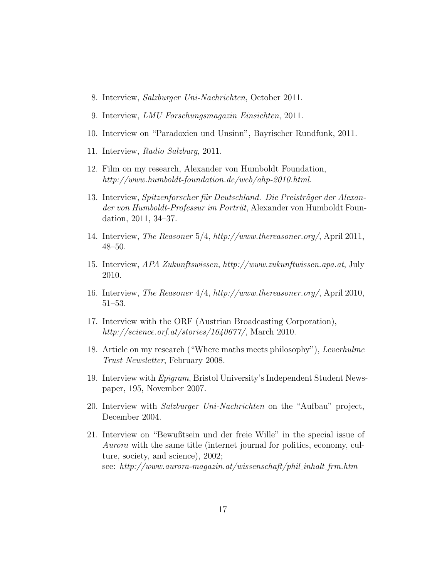- 8. Interview, Salzburger Uni-Nachrichten, October 2011.
- 9. Interview, LMU Forschungsmagazin Einsichten, 2011.
- 10. Interview on "Paradoxien und Unsinn", Bayrischer Rundfunk, 2011.
- 11. Interview, Radio Salzburg, 2011.
- 12. Film on my research, Alexander von Humboldt Foundation, http://www.humboldt-foundation.de/web/ahp-2010.html.
- 13. Interview, Spitzenforscher für Deutschland. Die Preisträger der Alexander von Humboldt-Professur im Porträt, Alexander von Humboldt Foundation, 2011, 34–37.
- 14. Interview, The Reasoner 5/4, http://www.thereasoner.org/, April 2011, 48–50.
- 15. Interview, APA Zukunftswissen, http://www.zukunftwissen.apa.at, July 2010.
- 16. Interview, The Reasoner 4/4, http://www.thereasoner.org/, April 2010, 51–53.
- 17. Interview with the ORF (Austrian Broadcasting Corporation), http://science.orf.at/stories/1640677/, March 2010.
- 18. Article on my research ("Where maths meets philosophy"), Leverhulme Trust Newsletter, February 2008.
- 19. Interview with Epigram, Bristol University's Independent Student Newspaper, 195, November 2007.
- 20. Interview with Salzburger Uni-Nachrichten on the "Aufbau" project, December 2004.
- 21. Interview on "Bewußtsein und der freie Wille" in the special issue of Aurora with the same title (internet journal for politics, economy, culture, society, and science), 2002; see:  $http://www.aurora-magazin.at/wissenschaft/phil.inhalt\_frm.htm.html$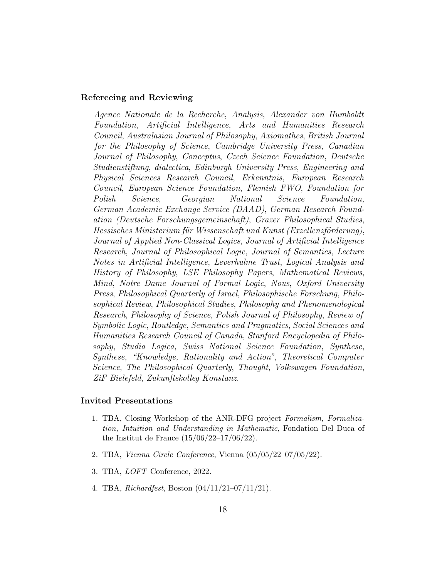# Refereeing and Reviewing

Agence Nationale de la Recherche, Analysis, Alexander von Humboldt Foundation, Artificial Intelligence, Arts and Humanities Research Council, Australasian Journal of Philosophy, Axiomathes, British Journal for the Philosophy of Science, Cambridge University Press, Canadian Journal of Philosophy, Conceptus, Czech Science Foundation, Deutsche Studienstiftung, dialectica, Edinburgh University Press, Engineering and Physical Sciences Research Council, Erkenntnis, European Research Council, European Science Foundation, Flemish FWO, Foundation for Polish Science, Georgian National Science Foundation, German Academic Exchange Service (DAAD), German Research Foundation (Deutsche Forschungsgemeinschaft), Grazer Philosophical Studies, Hessisches Ministerium für Wissenschaft und Kunst (Exzellenzförderung), Journal of Applied Non-Classical Logics, Journal of Artificial Intelligence Research, Journal of Philosophical Logic, Journal of Semantics, Lecture Notes in Artificial Intelligence, Leverhulme Trust, Logical Analysis and History of Philosophy, LSE Philosophy Papers, Mathematical Reviews, Mind, Notre Dame Journal of Formal Logic, Nous, Oxford University Press, Philosophical Quarterly of Israel, Philosophische Forschung, Philosophical Review, Philosophical Studies, Philosophy and Phenomenological Research, Philosophy of Science, Polish Journal of Philosophy, Review of Symbolic Logic, Routledge, Semantics and Pragmatics, Social Sciences and Humanities Research Council of Canada, Stanford Encyclopedia of Philosophy, Studia Logica, Swiss National Science Foundation, Synthese, Synthese, "Knowledge, Rationality and Action", Theoretical Computer Science, The Philosophical Quarterly, Thought, Volkswagen Foundation, ZiF Bielefeld, Zukunftskolleg Konstanz.

# Invited Presentations

- 1. TBA, Closing Workshop of the ANR-DFG project Formalism, Formalization, Intuition and Understanding in Mathematic, Fondation Del Duca of the Institut de France  $(15/06/22-17/06/22)$ .
- 2. TBA, Vienna Circle Conference, Vienna (05/05/22–07/05/22).
- 3. TBA, LOFT Conference, 2022.
- 4. TBA, Richardfest, Boston (04/11/21–07/11/21).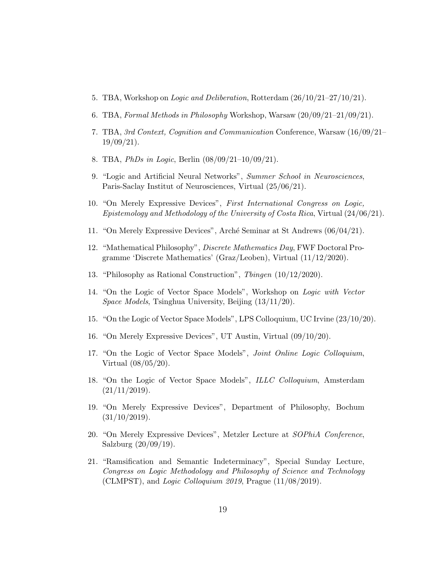- 5. TBA, Workshop on Logic and Deliberation, Rotterdam (26/10/21–27/10/21).
- 6. TBA, Formal Methods in Philosophy Workshop, Warsaw (20/09/21–21/09/21).
- 7. TBA, 3rd Context, Cognition and Communication Conference, Warsaw (16/09/21– 19/09/21).
- 8. TBA, *PhDs in Logic*, Berlin  $(08/09/21-10/09/21)$ .
- 9. "Logic and Artificial Neural Networks", Summer School in Neurosciences, Paris-Saclay Institut of Neurosciences, Virtual (25/06/21).
- 10. "On Merely Expressive Devices", First International Congress on Logic, Epistemology and Methodology of the University of Costa Rica, Virtual (24/06/21).
- 11. "On Merely Expressive Devices", Arch´e Seminar at St Andrews (06/04/21).
- 12. "Mathematical Philosophy", Discrete Mathematics Day, FWF Doctoral Programme 'Discrete Mathematics' (Graz/Leoben), Virtual (11/12/2020).
- 13. "Philosophy as Rational Construction", Tbingen (10/12/2020).
- 14. "On the Logic of Vector Space Models", Workshop on Logic with Vector Space Models, Tsinghua University, Beijing (13/11/20).
- 15. "On the Logic of Vector Space Models", LPS Colloquium, UC Irvine (23/10/20).
- 16. "On Merely Expressive Devices", UT Austin, Virtual (09/10/20).
- 17. "On the Logic of Vector Space Models", Joint Online Logic Colloquium, Virtual (08/05/20).
- 18. "On the Logic of Vector Space Models", ILLC Colloquium, Amsterdam  $(21/11/2019).$
- 19. "On Merely Expressive Devices", Department of Philosophy, Bochum  $(31/10/2019).$
- 20. "On Merely Expressive Devices", Metzler Lecture at SOPhiA Conference, Salzburg (20/09/19).
- 21. "Ramsification and Semantic Indeterminacy", Special Sunday Lecture, Congress on Logic Methodology and Philosophy of Science and Technology (CLMPST), and Logic Colloquium 2019, Prague  $(11/08/2019)$ .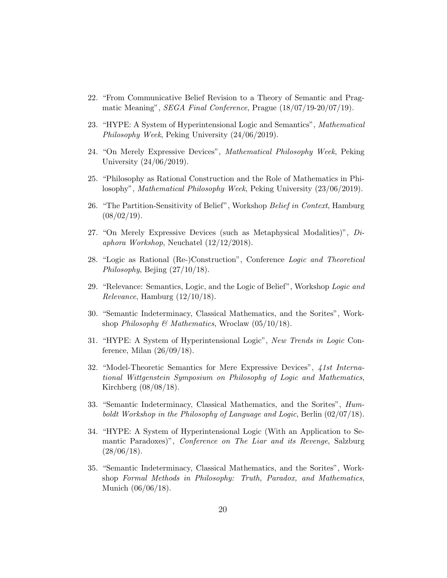- 22. "From Communicative Belief Revision to a Theory of Semantic and Pragmatic Meaning", SEGA Final Conference, Prague (18/07/19-20/07/19).
- 23. "HYPE: A System of Hyperintensional Logic and Semantics", Mathematical Philosophy Week, Peking University (24/06/2019).
- 24. "On Merely Expressive Devices", Mathematical Philosophy Week, Peking University (24/06/2019).
- 25. "Philosophy as Rational Construction and the Role of Mathematics in Philosophy", Mathematical Philosophy Week, Peking University (23/06/2019).
- 26. "The Partition-Sensitivity of Belief", Workshop Belief in Context, Hamburg  $(08/02/19).$
- 27. "On Merely Expressive Devices (such as Metaphysical Modalities)", Diaphora Workshop, Neuchatel (12/12/2018).
- 28. "Logic as Rational (Re-)Construction", Conference Logic and Theoretical Philosophy, Bejing (27/10/18).
- 29. "Relevance: Semantics, Logic, and the Logic of Belief", Workshop Logic and Relevance, Hamburg (12/10/18).
- 30. "Semantic Indeterminacy, Classical Mathematics, and the Sorites", Workshop Philosophy & Mathematics, Wroclaw  $(05/10/18)$ .
- 31. "HYPE: A System of Hyperintensional Logic", New Trends in Logic Conference, Milan  $(26/09/18)$ .
- 32. "Model-Theoretic Semantics for Mere Expressive Devices", 41st International Wittgenstein Symposium on Philosophy of Logic and Mathematics, Kirchberg (08/08/18).
- 33. "Semantic Indeterminacy, Classical Mathematics, and the Sorites", Humboldt Workshop in the Philosophy of Language and Logic, Berlin (02/07/18).
- 34. "HYPE: A System of Hyperintensional Logic (With an Application to Semantic Paradoxes)", Conference on The Liar and its Revenge, Salzburg  $(28/06/18).$
- 35. "Semantic Indeterminacy, Classical Mathematics, and the Sorites", Workshop Formal Methods in Philosophy: Truth, Paradox, and Mathematics, Munich (06/06/18).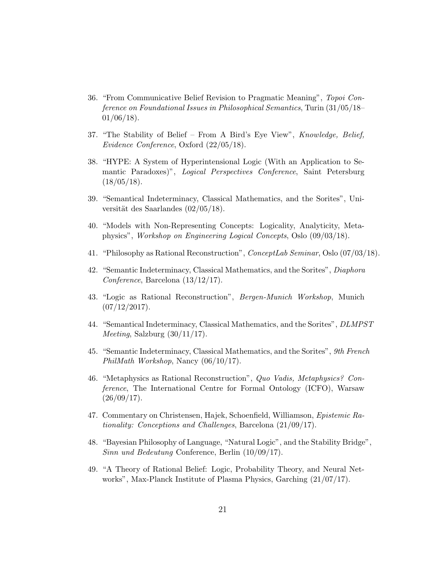- 36. "From Communicative Belief Revision to Pragmatic Meaning", Topoi Conference on Foundational Issues in Philosophical Semantics, Turin (31/05/18–  $01/06/18$ ).
- 37. "The Stability of Belief From A Bird's Eye View", Knowledge, Belief, Evidence Conference, Oxford (22/05/18).
- 38. "HYPE: A System of Hyperintensional Logic (With an Application to Semantic Paradoxes)", Logical Perspectives Conference, Saint Petersburg  $(18/05/18).$
- 39. "Semantical Indeterminacy, Classical Mathematics, and the Sorites", Universität des Saarlandes  $(02/05/18)$ .
- 40. "Models with Non-Representing Concepts: Logicality, Analyticity, Metaphysics", Workshop on Engineering Logical Concepts, Oslo (09/03/18).
- 41. "Philosophy as Rational Reconstruction", ConceptLab Seminar, Oslo (07/03/18).
- 42. "Semantic Indeterminacy, Classical Mathematics, and the Sorites", Diaphora Conference, Barcelona (13/12/17).
- 43. "Logic as Rational Reconstruction", Bergen-Munich Workshop, Munich  $(07/12/2017).$
- 44. "Semantical Indeterminacy, Classical Mathematics, and the Sorites", DLMPST *Meeting*, Salzburg  $(30/11/17)$ .
- 45. "Semantic Indeterminacy, Classical Mathematics, and the Sorites", 9th French PhilMath Workshop, Nancy (06/10/17).
- 46. "Metaphysics as Rational Reconstruction", Quo Vadis, Metaphysics? Conference, The International Centre for Formal Ontology (ICFO), Warsaw  $(26/09/17).$
- 47. Commentary on Christensen, Hajek, Schoenfield, Williamson, Epistemic Rationality: Conceptions and Challenges, Barcelona (21/09/17).
- 48. "Bayesian Philosophy of Language, "Natural Logic", and the Stability Bridge", Sinn und Bedeutung Conference, Berlin (10/09/17).
- 49. "A Theory of Rational Belief: Logic, Probability Theory, and Neural Networks", Max-Planck Institute of Plasma Physics, Garching (21/07/17).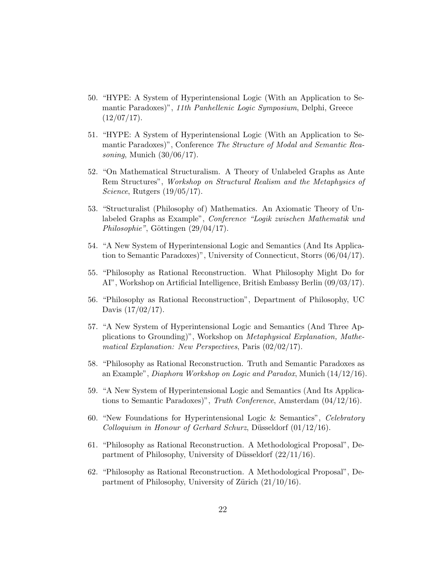- 50. "HYPE: A System of Hyperintensional Logic (With an Application to Semantic Paradoxes)", 11th Panhellenic Logic Symposium, Delphi, Greece  $(12/07/17).$
- 51. "HYPE: A System of Hyperintensional Logic (With an Application to Semantic Paradoxes)", Conference The Structure of Modal and Semantic Reasoning, Munich  $(30/06/17)$ .
- 52. "On Mathematical Structuralism. A Theory of Unlabeled Graphs as Ante Rem Structures", Workshop on Structural Realism and the Metaphysics of Science, Rutgers  $(19/05/17)$ .
- 53. "Structuralist (Philosophy of) Mathematics. An Axiomatic Theory of Unlabeled Graphs as Example", Conference "Logik zwischen Mathematik und  $Philosophie", Göttingen (29/04/17).$
- 54. "A New System of Hyperintensional Logic and Semantics (And Its Application to Semantic Paradoxes)", University of Connecticut, Storrs (06/04/17).
- 55. "Philosophy as Rational Reconstruction. What Philosophy Might Do for AI", Workshop on Artificial Intelligence, British Embassy Berlin (09/03/17).
- 56. "Philosophy as Rational Reconstruction", Department of Philosophy, UC Davis (17/02/17).
- 57. "A New System of Hyperintensional Logic and Semantics (And Three Applications to Grounding)", Workshop on Metaphysical Explanation, Mathematical Explanation: New Perspectives, Paris (02/02/17).
- 58. "Philosophy as Rational Reconstruction. Truth and Semantic Paradoxes as an Example", Diaphora Workshop on Logic and Paradox, Munich (14/12/16).
- 59. "A New System of Hyperintensional Logic and Semantics (And Its Applications to Semantic Paradoxes)", Truth Conference, Amsterdam (04/12/16).
- 60. "New Foundations for Hyperintensional Logic & Semantics", Celebratory  $\emph{Colloguium}$  in Honour of Gerhard Schurz, Düsseldorf  $(01/12/16)$ .
- 61. "Philosophy as Rational Reconstruction. A Methodological Proposal", Department of Philosophy, University of Düsseldorf  $(22/11/16)$ .
- 62. "Philosophy as Rational Reconstruction. A Methodological Proposal", Department of Philosophy, University of Zürich  $(21/10/16)$ .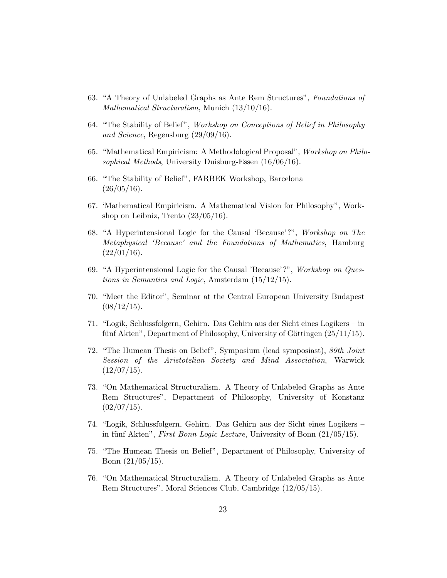- 63. "A Theory of Unlabeled Graphs as Ante Rem Structures", Foundations of Mathematical Structuralism, Munich (13/10/16).
- 64. "The Stability of Belief", Workshop on Conceptions of Belief in Philosophy and Science, Regensburg (29/09/16).
- 65. "Mathematical Empiricism: A Methodological Proposal", Workshop on Philosophical Methods, University Duisburg-Essen (16/06/16).
- 66. "The Stability of Belief", FARBEK Workshop, Barcelona  $(26/05/16).$
- 67. 'Mathematical Empiricism. A Mathematical Vision for Philosophy", Workshop on Leibniz, Trento  $(23/05/16)$ .
- 68. "A Hyperintensional Logic for the Causal 'Because'?", Workshop on The Metaphysical 'Because' and the Foundations of Mathematics, Hamburg  $(22/01/16).$
- 69. "A Hyperintensional Logic for the Causal 'Because'?", Workshop on Questions in Semantics and Logic, Amsterdam (15/12/15).
- 70. "Meet the Editor", Seminar at the Central European University Budapest  $(08/12/15).$
- 71. "Logik, Schlussfolgern, Gehirn. Das Gehirn aus der Sicht eines Logikers in fünf Akten", Department of Philosophy, University of Göttingen  $(25/11/15)$ .
- 72. "The Humean Thesis on Belief", Symposium (lead symposiast), 89th Joint Session of the Aristotelian Society and Mind Association, Warwick  $(12/07/15).$
- 73. "On Mathematical Structuralism. A Theory of Unlabeled Graphs as Ante Rem Structures", Department of Philosophy, University of Konstanz  $(02/07/15).$
- 74. "Logik, Schlussfolgern, Gehirn. Das Gehirn aus der Sicht eines Logikers in fünf Akten", First Bonn Logic Lecture, University of Bonn  $(21/05/15)$ .
- 75. "The Humean Thesis on Belief", Department of Philosophy, University of Bonn (21/05/15).
- 76. "On Mathematical Structuralism. A Theory of Unlabeled Graphs as Ante Rem Structures", Moral Sciences Club, Cambridge (12/05/15).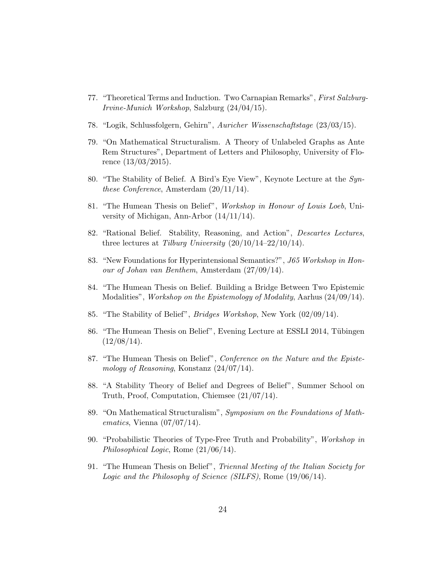- 77. "Theoretical Terms and Induction. Two Carnapian Remarks", First Salzburg-Irvine-Munich Workshop, Salzburg (24/04/15).
- 78. "Logik, Schlussfolgern, Gehirn", Auricher Wissenschaftstage (23/03/15).
- 79. "On Mathematical Structuralism. A Theory of Unlabeled Graphs as Ante Rem Structures", Department of Letters and Philosophy, University of Florence (13/03/2015).
- 80. "The Stability of Belief. A Bird's Eye View", Keynote Lecture at the Synthese Conference, Amsterdam (20/11/14).
- 81. "The Humean Thesis on Belief", Workshop in Honour of Louis Loeb, University of Michigan, Ann-Arbor (14/11/14).
- 82. "Rational Belief. Stability, Reasoning, and Action", Descartes Lectures, three lectures at Tilburg University  $(20/10/14-22/10/14)$ .
- 83. "New Foundations for Hyperintensional Semantics?", J65 Workshop in Honour of Johan van Benthem, Amsterdam (27/09/14).
- 84. "The Humean Thesis on Belief. Building a Bridge Between Two Epistemic Modalities", Workshop on the Epistemology of Modality, Aarhus (24/09/14).
- 85. "The Stability of Belief", Bridges Workshop, New York (02/09/14).
- 86. "The Humean Thesis on Belief", Evening Lecture at ESSLI 2014, Tübingen  $(12/08/14).$
- 87. "The Humean Thesis on Belief", Conference on the Nature and the Epistemology of Reasoning, Konstanz (24/07/14).
- 88. "A Stability Theory of Belief and Degrees of Belief", Summer School on Truth, Proof, Computation, Chiemsee (21/07/14).
- 89. "On Mathematical Structuralism", Symposium on the Foundations of Mathematics, Vienna  $(07/07/14)$ .
- 90. "Probabilistic Theories of Type-Free Truth and Probability", Workshop in Philosophical Logic, Rome (21/06/14).
- 91. "The Humean Thesis on Belief", Triennal Meeting of the Italian Society for Logic and the Philosophy of Science (SILFS), Rome (19/06/14).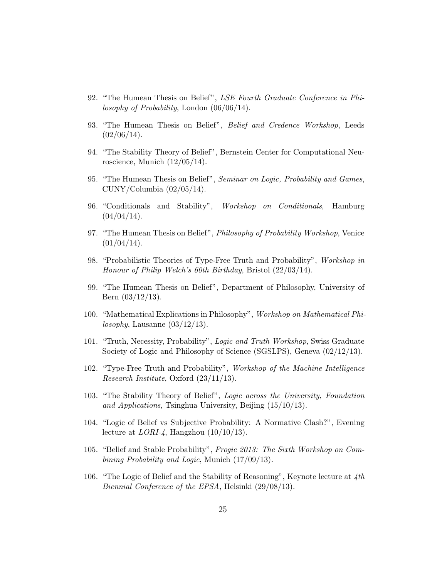- 92. "The Humean Thesis on Belief", LSE Fourth Graduate Conference in Philosophy of Probability, London (06/06/14).
- 93. "The Humean Thesis on Belief", Belief and Credence Workshop, Leeds  $(02/06/14).$
- 94. "The Stability Theory of Belief", Bernstein Center for Computational Neuroscience, Munich (12/05/14).
- 95. "The Humean Thesis on Belief", Seminar on Logic, Probability and Games,  $CUNY/Columnbia (02/05/14).$
- 96. "Conditionals and Stability", Workshop on Conditionals, Hamburg  $(04/04/14).$
- 97. "The Humean Thesis on Belief", Philosophy of Probability Workshop, Venice  $(01/04/14).$
- 98. "Probabilistic Theories of Type-Free Truth and Probability", Workshop in Honour of Philip Welch's 60th Birthday, Bristol (22/03/14).
- 99. "The Humean Thesis on Belief", Department of Philosophy, University of Bern (03/12/13).
- 100. "Mathematical Explications in Philosophy", Workshop on Mathematical Philosophy, Lausanne  $(03/12/13)$ .
- 101. "Truth, Necessity, Probability", Logic and Truth Workshop, Swiss Graduate Society of Logic and Philosophy of Science (SGSLPS), Geneva (02/12/13).
- 102. "Type-Free Truth and Probability", Workshop of the Machine Intelligence Research Institute, Oxford (23/11/13).
- 103. "The Stability Theory of Belief", Logic across the University, Foundation and Applications, Tsinghua University, Beijing (15/10/13).
- 104. "Logic of Belief vs Subjective Probability: A Normative Clash?", Evening lecture at  $LORI-4$ , Hangzhou  $(10/10/13)$ .
- 105. "Belief and Stable Probability", Progic 2013: The Sixth Workshop on Combining Probability and Logic, Munich (17/09/13).
- 106. "The Logic of Belief and the Stability of Reasoning", Keynote lecture at 4th Biennial Conference of the EPSA, Helsinki (29/08/13).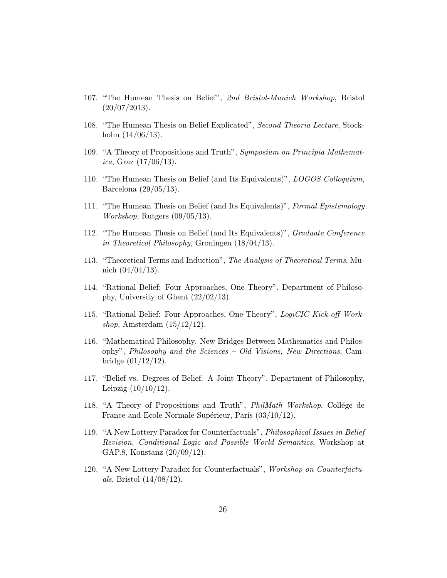- 107. "The Humean Thesis on Belief", 2nd Bristol-Munich Workshop, Bristol  $(20/07/2013).$
- 108. "The Humean Thesis on Belief Explicated", Second Theoria Lecture, Stockholm  $(14/06/13)$ .
- 109. "A Theory of Propositions and Truth", Symposium on Principia Mathemat*ica*, Graz  $(17/06/13)$ .
- 110. "The Humean Thesis on Belief (and Its Equivalents)", LOGOS Colloquium, Barcelona (29/05/13).
- 111. "The Humean Thesis on Belief (and Its Equivalents)", Formal Epistemology Workshop, Rutgers (09/05/13).
- 112. "The Humean Thesis on Belief (and Its Equivalents)", Graduate Conference in Theoretical Philosophy, Groningen (18/04/13).
- 113. "Theoretical Terms and Induction", The Analysis of Theoretical Terms, Munich  $(04/04/13)$ .
- 114. "Rational Belief: Four Approaches, One Theory", Department of Philosophy, University of Ghent (22/02/13).
- 115. "Rational Belief: Four Approaches, One Theory", LogiCIC Kick-off Workshop, Amsterdam  $(15/12/12)$ .
- 116. "Mathematical Philosophy. New Bridges Between Mathematics and Philosophy", Philosophy and the Sciences – Old Visions, New Directions, Cambridge (01/12/12).
- 117. "Belief vs. Degrees of Belief. A Joint Theory", Department of Philosophy, Leipzig  $(10/10/12)$ .
- 118. "A Theory of Propositions and Truth", *PhilMath Workshop*, Collége de France and Ecole Normale Supérieur, Paris  $(03/10/12)$ .
- 119. "A New Lottery Paradox for Counterfactuals", Philosophical Issues in Belief Revision, Conditional Logic and Possible World Semantics, Workshop at GAP.8, Konstanz (20/09/12).
- 120. "A New Lottery Paradox for Counterfactuals", Workshop on Counterfactu*als*, Bristol  $(14/08/12)$ .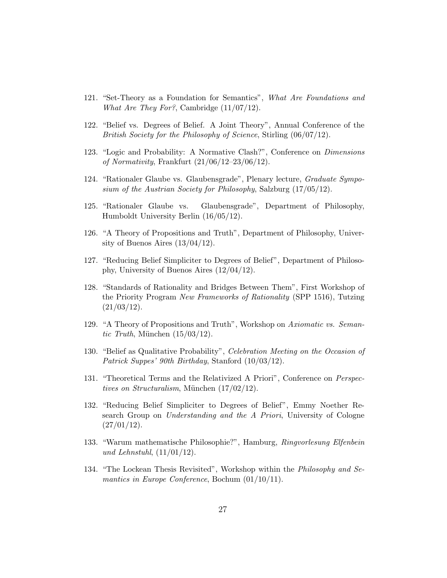- 121. "Set-Theory as a Foundation for Semantics", What Are Foundations and What Are They For?, Cambridge (11/07/12).
- 122. "Belief vs. Degrees of Belief. A Joint Theory", Annual Conference of the British Society for the Philosophy of Science, Stirling (06/07/12).
- 123. "Logic and Probability: A Normative Clash?", Conference on Dimensions of Normativity, Frankfurt  $(21/06/12-23/06/12)$ .
- 124. "Rationaler Glaube vs. Glaubensgrade", Plenary lecture, Graduate Symposium of the Austrian Society for Philosophy, Salzburg (17/05/12).
- 125. "Rationaler Glaube vs. Glaubensgrade", Department of Philosophy, Humboldt University Berlin (16/05/12).
- 126. "A Theory of Propositions and Truth", Department of Philosophy, University of Buenos Aires  $(13/04/12)$ .
- 127. "Reducing Belief Simpliciter to Degrees of Belief", Department of Philosophy, University of Buenos Aires (12/04/12).
- 128. "Standards of Rationality and Bridges Between Them", First Workshop of the Priority Program New Frameworks of Rationality (SPP 1516), Tutzing  $(21/03/12).$
- 129. "A Theory of Propositions and Truth", Workshop on Axiomatic vs. Semantic Truth, München  $(15/03/12)$ .
- 130. "Belief as Qualitative Probability", Celebration Meeting on the Occasion of Patrick Suppes' 90th Birthday, Stanford (10/03/12).
- 131. "Theoretical Terms and the Relativized A Priori", Conference on Perspectives on Structuralism, München  $(17/02/12)$ .
- 132. "Reducing Belief Simpliciter to Degrees of Belief", Emmy Noether Research Group on Understanding and the A Priori, University of Cologne  $(27/01/12).$
- 133. "Warum mathematische Philosophie?", Hamburg, Ringvorlesung Elfenbein und Lehnstuhl,  $(11/01/12)$ .
- 134. "The Lockean Thesis Revisited", Workshop within the Philosophy and Semantics in Europe Conference, Bochum (01/10/11).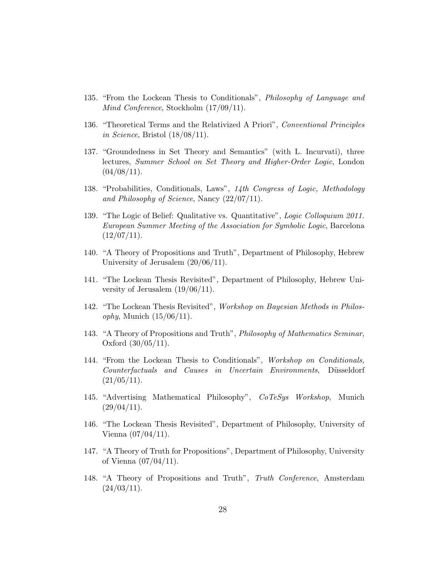- 135. "From the Lockean Thesis to Conditionals", Philosophy of Language and Mind Conference, Stockholm (17/09/11).
- 136. "Theoretical Terms and the Relativized A Priori", Conventional Principles in Science, Bristol  $(18/08/11)$ .
- 137. "Groundedness in Set Theory and Semantics" (with L. Incurvati), three lectures, Summer School on Set Theory and Higher-Order Logic, London  $(04/08/11).$
- 138. "Probabilities, Conditionals, Laws", 14th Congress of Logic, Methodology and Philosophy of Science, Nancy (22/07/11).
- 139. "The Logic of Belief: Qualitative vs. Quantitative", Logic Colloquium 2011. European Summer Meeting of the Association for Symbolic Logic, Barcelona  $(12/07/11).$
- 140. "A Theory of Propositions and Truth", Department of Philosophy, Hebrew University of Jerusalem (20/06/11).
- 141. "The Lockean Thesis Revisited", Department of Philosophy, Hebrew University of Jerusalem (19/06/11).
- 142. "The Lockean Thesis Revisited", Workshop on Bayesian Methods in Philosophy, Munich  $(15/06/11)$ .
- 143. "A Theory of Propositions and Truth", Philosophy of Mathematics Seminar, Oxford (30/05/11).
- 144. "From the Lockean Thesis to Conditionals", Workshop on Conditionals, Counterfactuals and Causes in Uncertain Environments, Düsseldorf  $(21/05/11).$
- 145. "Advertising Mathematical Philosophy", CoTeSys Workshop, Munich  $(29/04/11).$
- 146. "The Lockean Thesis Revisited", Department of Philosophy, University of Vienna (07/04/11).
- 147. "A Theory of Truth for Propositions", Department of Philosophy, University of Vienna (07/04/11).
- 148. "A Theory of Propositions and Truth", Truth Conference, Amsterdam  $(24/03/11).$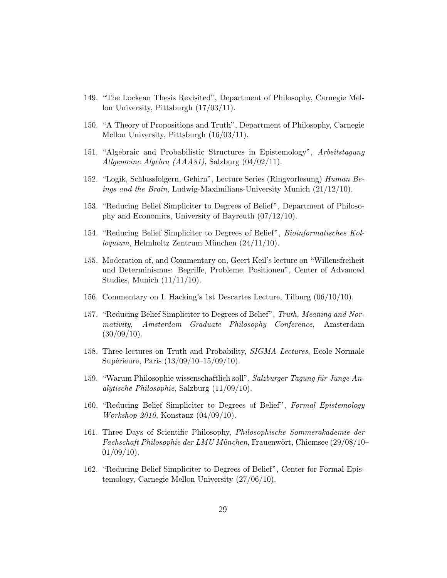- 149. "The Lockean Thesis Revisited", Department of Philosophy, Carnegie Mellon University, Pittsburgh (17/03/11).
- 150. "A Theory of Propositions and Truth", Department of Philosophy, Carnegie Mellon University, Pittsburgh (16/03/11).
- 151. "Algebraic and Probabilistic Structures in Epistemology", Arbeitstagung Allgemeine Algebra (AAA81), Salzburg (04/02/11).
- 152. "Logik, Schlussfolgern, Gehirn", Lecture Series (Ringvorlesung) Human Beings and the Brain, Ludwig-Maximilians-University Munich (21/12/10).
- 153. "Reducing Belief Simpliciter to Degrees of Belief", Department of Philosophy and Economics, University of Bayreuth (07/12/10).
- 154. "Reducing Belief Simpliciter to Degrees of Belief", Bioinformatisches Kol $loguium$ , Helmholtz Zentrum München  $(24/11/10)$ .
- 155. Moderation of, and Commentary on, Geert Keil's lecture on "Willensfreiheit und Determinismus: Begriffe, Probleme, Positionen", Center of Advanced Studies, Munich (11/11/10).
- 156. Commentary on I. Hacking's 1st Descartes Lecture, Tilburg (06/10/10).
- 157. "Reducing Belief Simpliciter to Degrees of Belief", Truth, Meaning and Normativity, Amsterdam Graduate Philosophy Conference, Amsterdam  $(30/09/10).$
- 158. Three lectures on Truth and Probability, SIGMA Lectures, Ecole Normale Supérieure, Paris  $(13/09/10-15/09/10)$ .
- 159. "Warum Philosophie wissenschaftlich soll", Salzburger Tagung für Junge Analytische Philosophie, Salzburg (11/09/10).
- 160. "Reducing Belief Simpliciter to Degrees of Belief", Formal Epistemology Workshop 2010, Konstanz (04/09/10).
- 161. Three Days of Scientific Philosophy, Philosophische Sommerakademie der  $Fachschaft Philosophie der LMU München$ , Frauenwört, Chiemsee (29/08/10–  $01/09/10$ ).
- 162. "Reducing Belief Simpliciter to Degrees of Belief", Center for Formal Epistemology, Carnegie Mellon University (27/06/10).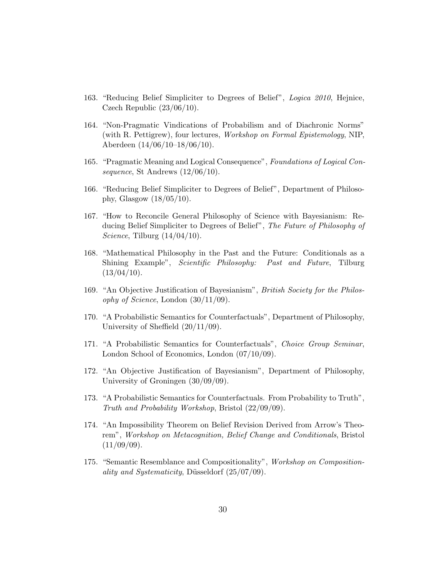- 163. "Reducing Belief Simpliciter to Degrees of Belief", Logica 2010, Hejnice, Czech Republic (23/06/10).
- 164. "Non-Pragmatic Vindications of Probabilism and of Diachronic Norms" (with R. Pettigrew), four lectures, Workshop on Formal Epistemology, NIP, Aberdeen (14/06/10–18/06/10).
- 165. "Pragmatic Meaning and Logical Consequence", Foundations of Logical Consequence, St Andrews  $(12/06/10)$ .
- 166. "Reducing Belief Simpliciter to Degrees of Belief", Department of Philosophy, Glasgow  $(18/05/10)$ .
- 167. "How to Reconcile General Philosophy of Science with Bayesianism: Reducing Belief Simpliciter to Degrees of Belief", The Future of Philosophy of Science, Tilburg  $(14/04/10)$ .
- 168. "Mathematical Philosophy in the Past and the Future: Conditionals as a Shining Example", Scientific Philosophy: Past and Future, Tilburg  $(13/04/10).$
- 169. "An Objective Justification of Bayesianism", British Society for the Philosophy of Science, London  $(30/11/09)$ .
- 170. "A Probabilistic Semantics for Counterfactuals", Department of Philosophy, University of Sheffield (20/11/09).
- 171. "A Probabilistic Semantics for Counterfactuals", Choice Group Seminar, London School of Economics, London (07/10/09).
- 172. "An Objective Justification of Bayesianism", Department of Philosophy, University of Groningen (30/09/09).
- 173. "A Probabilistic Semantics for Counterfactuals. From Probability to Truth", Truth and Probability Workshop, Bristol (22/09/09).
- 174. "An Impossibility Theorem on Belief Revision Derived from Arrow's Theorem", Workshop on Metacognition, Belief Change and Conditionals, Bristol  $(11/09/09)$ .
- 175. "Semantic Resemblance and Compositionality", Workshop on Compositionality and Systematicity, Düsseldorf  $(25/07/09)$ .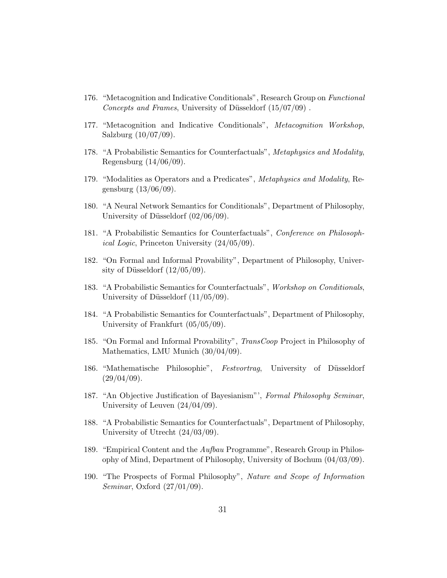- 176. "Metacognition and Indicative Conditionals", Research Group on Functional Concepts and Frames, University of Düsseldorf  $(15/07/09)$ .
- 177. "Metacognition and Indicative Conditionals", Metacognition Workshop, Salzburg (10/07/09).
- 178. "A Probabilistic Semantics for Counterfactuals", Metaphysics and Modality, Regensburg (14/06/09).
- 179. "Modalities as Operators and a Predicates", Metaphysics and Modality, Regensburg (13/06/09).
- 180. "A Neural Network Semantics for Conditionals", Department of Philosophy, University of Düsseldorf  $(02/06/09)$ .
- 181. "A Probabilistic Semantics for Counterfactuals", Conference on Philosophical Logic, Princeton University (24/05/09).
- 182. "On Formal and Informal Provability", Department of Philosophy, University of Düsseldorf  $(12/05/09)$ .
- 183. "A Probabilistic Semantics for Counterfactuals", Workshop on Conditionals, University of Düsseldorf  $(11/05/09)$ .
- 184. "A Probabilistic Semantics for Counterfactuals", Department of Philosophy, University of Frankfurt (05/05/09).
- 185. "On Formal and Informal Provability", TransCoop Project in Philosophy of Mathematics, LMU Munich (30/04/09).
- 186. "Mathematische Philosophie", Festvortrag, University of Düsseldorf  $(29/04/09)$ .
- 187. "An Objective Justification of Bayesianism"', Formal Philosophy Seminar, University of Leuven (24/04/09).
- 188. "A Probabilistic Semantics for Counterfactuals", Department of Philosophy, University of Utrecht (24/03/09).
- 189. "Empirical Content and the Aufbau Programme", Research Group in Philosophy of Mind, Department of Philosophy, University of Bochum (04/03/09).
- 190. "The Prospects of Formal Philosophy", Nature and Scope of Information Seminar, Oxford (27/01/09).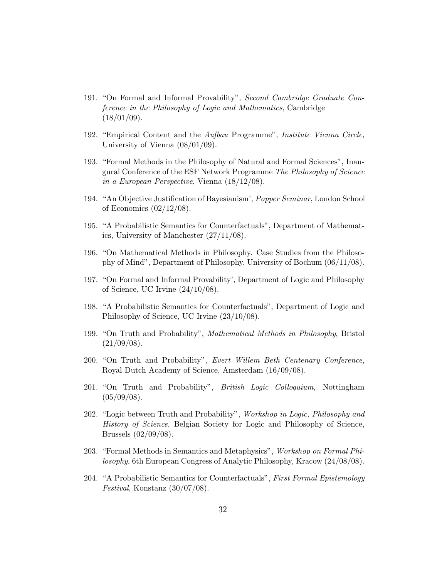- 191. "On Formal and Informal Provability", Second Cambridge Graduate Conference in the Philosophy of Logic and Mathematics, Cambridge  $(18/01/09)$ .
- 192. "Empirical Content and the Aufbau Programme", Institute Vienna Circle, University of Vienna (08/01/09).
- 193. "Formal Methods in the Philosophy of Natural and Formal Sciences", Inaugural Conference of the ESF Network Programme The Philosophy of Science in a European Perspective, Vienna (18/12/08).
- 194. "An Objective Justification of Bayesianism', Popper Seminar, London School of Economics  $(02/12/08)$ .
- 195. "A Probabilistic Semantics for Counterfactuals", Department of Mathematics, University of Manchester (27/11/08).
- 196. "On Mathematical Methods in Philosophy. Case Studies from the Philosophy of Mind", Department of Philosophy, University of Bochum (06/11/08).
- 197. "On Formal and Informal Provability', Department of Logic and Philosophy of Science, UC Irvine (24/10/08).
- 198. "A Probabilistic Semantics for Counterfactuals", Department of Logic and Philosophy of Science, UC Irvine (23/10/08).
- 199. "On Truth and Probability", Mathematical Methods in Philosophy, Bristol  $(21/09/08).$
- 200. "On Truth and Probability", Evert Willem Beth Centenary Conference, Royal Dutch Academy of Science, Amsterdam (16/09/08).
- 201. "On Truth and Probability", British Logic Colloquium, Nottingham  $(05/09/08).$
- 202. "Logic between Truth and Probability", Workshop in Logic, Philosophy and History of Science, Belgian Society for Logic and Philosophy of Science, Brussels (02/09/08).
- 203. "Formal Methods in Semantics and Metaphysics", Workshop on Formal Philosophy, 6th European Congress of Analytic Philosophy, Kracow (24/08/08).
- 204. "A Probabilistic Semantics for Counterfactuals", First Formal Epistemology Festival, Konstanz (30/07/08).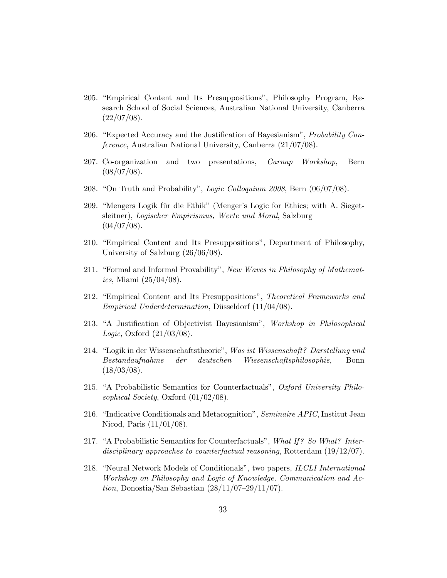- 205. "Empirical Content and Its Presuppositions", Philosophy Program, Research School of Social Sciences, Australian National University, Canberra  $(22/07/08).$
- 206. "Expected Accuracy and the Justification of Bayesianism", Probability Conference, Australian National University, Canberra (21/07/08).
- 207. Co-organization and two presentations, Carnap Workshop, Bern  $(08/07/08).$
- 208. "On Truth and Probability", Logic Colloquium 2008, Bern (06/07/08).
- 209. "Mengers Logik für die Ethik" (Menger's Logic for Ethics; with A. Siegetsleitner), Logischer Empirismus, Werte und Moral, Salzburg  $(04/07/08).$
- 210. "Empirical Content and Its Presuppositions", Department of Philosophy, University of Salzburg (26/06/08).
- 211. "Formal and Informal Provability", New Waves in Philosophy of Mathemat*ics*, Miami  $(25/04/08)$ .
- 212. "Empirical Content and Its Presuppositions", Theoretical Frameworks and Empirical Underdetermination, Düsseldorf  $(11/04/08)$ .
- 213. "A Justification of Objectivist Bayesianism", Workshop in Philosophical *Logic*, Oxford  $(21/03/08)$ .
- 214. "Logik in der Wissenschaftstheorie", Was ist Wissenschaft? Darstellung und Bestandaufnahme der deutschen Wissenschaftsphilosophie, Bonn  $(18/03/08).$
- 215. "A Probabilistic Semantics for Counterfactuals", Oxford University Philosophical Society, Oxford  $(01/02/08)$ .
- 216. "Indicative Conditionals and Metacognition", Seminaire APIC, Institut Jean Nicod, Paris (11/01/08).
- 217. "A Probabilistic Semantics for Counterfactuals", What If? So What? Interdisciplinary approaches to counterfactual reasoning, Rotterdam (19/12/07).
- 218. "Neural Network Models of Conditionals", two papers, ILCLI International Workshop on Philosophy and Logic of Knowledge, Communication and Action, Donostia/San Sebastian (28/11/07–29/11/07).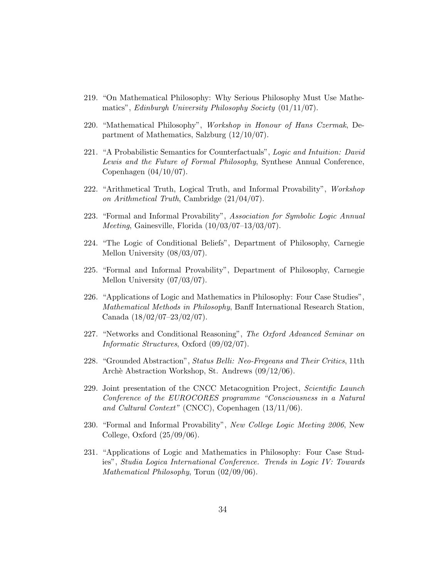- 219. "On Mathematical Philosophy: Why Serious Philosophy Must Use Mathematics", Edinburgh University Philosophy Society (01/11/07).
- 220. "Mathematical Philosophy", Workshop in Honour of Hans Czermak, Department of Mathematics, Salzburg (12/10/07).
- 221. "A Probabilistic Semantics for Counterfactuals", Logic and Intuition: David Lewis and the Future of Formal Philosophy, Synthese Annual Conference, Copenhagen (04/10/07).
- 222. "Arithmetical Truth, Logical Truth, and Informal Provability", Workshop on Arithmetical Truth, Cambridge (21/04/07).
- 223. "Formal and Informal Provability", Association for Symbolic Logic Annual Meeting, Gainesville, Florida (10/03/07–13/03/07).
- 224. "The Logic of Conditional Beliefs", Department of Philosophy, Carnegie Mellon University (08/03/07).
- 225. "Formal and Informal Provability", Department of Philosophy, Carnegie Mellon University (07/03/07).
- 226. "Applications of Logic and Mathematics in Philosophy: Four Case Studies", Mathematical Methods in Philosophy, Banff International Research Station, Canada (18/02/07–23/02/07).
- 227. "Networks and Conditional Reasoning", The Oxford Advanced Seminar on Informatic Structures, Oxford (09/02/07).
- 228. "Grounded Abstraction", Status Belli: Neo-Fregeans and Their Critics, 11th Arch`e Abstraction Workshop, St. Andrews (09/12/06).
- 229. Joint presentation of the CNCC Metacognition Project, Scientific Launch Conference of the EUROCORES programme "Consciousness in a Natural and Cultural Context" (CNCC), Copenhagen (13/11/06).
- 230. "Formal and Informal Provability", New College Logic Meeting 2006, New College, Oxford (25/09/06).
- 231. "Applications of Logic and Mathematics in Philosophy: Four Case Studies", Studia Logica International Conference. Trends in Logic IV: Towards Mathematical Philosophy, Torun (02/09/06).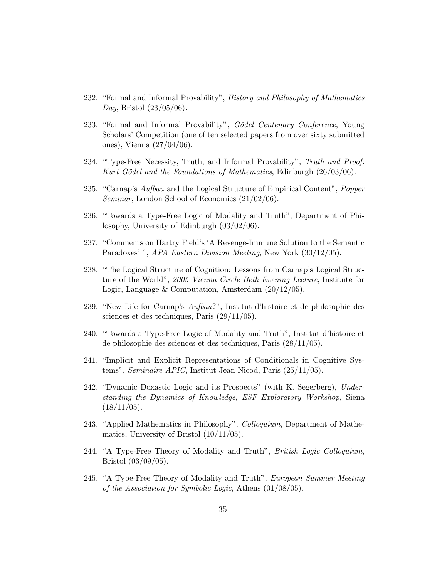- 232. "Formal and Informal Provability", History and Philosophy of Mathematics *Day*, Bristol  $(23/05/06)$ .
- 233. "Formal and Informal Provability", Gödel Centenary Conference, Young Scholars' Competition (one of ten selected papers from over sixty submitted ones), Vienna (27/04/06).
- 234. "Type-Free Necessity, Truth, and Informal Provability", Truth and Proof: Kurt Gödel and the Foundations of Mathematics, Edinburgh  $(26/03/06)$ .
- 235. "Carnap's Aufbau and the Logical Structure of Empirical Content", Popper Seminar, London School of Economics (21/02/06).
- 236. "Towards a Type-Free Logic of Modality and Truth", Department of Philosophy, University of Edinburgh (03/02/06).
- 237. "Comments on Hartry Field's 'A Revenge-Immune Solution to the Semantic Paradoxes' ", APA Eastern Division Meeting, New York (30/12/05).
- 238. "The Logical Structure of Cognition: Lessons from Carnap's Logical Structure of the World", 2005 Vienna Circle Beth Evening Lecture, Institute for Logic, Language & Computation, Amsterdam (20/12/05).
- 239. "New Life for Carnap's Aufbau?", Institut d'histoire et de philosophie des sciences et des techniques, Paris (29/11/05).
- 240. "Towards a Type-Free Logic of Modality and Truth", Institut d'histoire et de philosophie des sciences et des techniques, Paris (28/11/05).
- 241. "Implicit and Explicit Representations of Conditionals in Cognitive Systems", Seminaire APIC, Institut Jean Nicod, Paris (25/11/05).
- 242. "Dynamic Doxastic Logic and its Prospects" (with K. Segerberg), Understanding the Dynamics of Knowledge, ESF Exploratory Workshop, Siena  $(18/11/05).$
- 243. "Applied Mathematics in Philosophy", Colloquium, Department of Mathematics, University of Bristol (10/11/05).
- 244. "A Type-Free Theory of Modality and Truth", British Logic Colloquium, Bristol (03/09/05).
- 245. "A Type-Free Theory of Modality and Truth", European Summer Meeting of the Association for Symbolic Logic, Athens (01/08/05).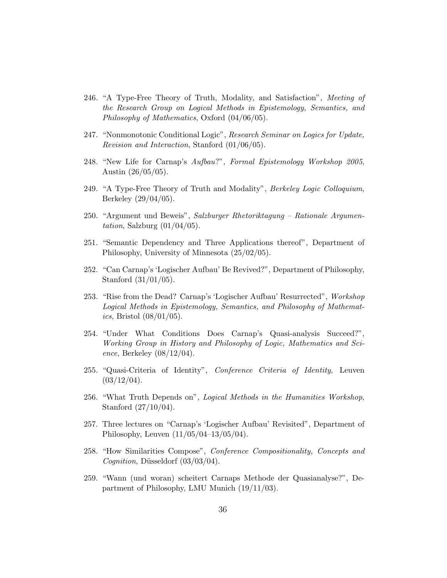- 246. "A Type-Free Theory of Truth, Modality, and Satisfaction", Meeting of the Research Group on Logical Methods in Epistemology, Semantics, and Philosophy of Mathematics, Oxford (04/06/05).
- 247. "Nonmonotonic Conditional Logic", Research Seminar on Logics for Update, Revision and Interaction, Stanford (01/06/05).
- 248. "New Life for Carnap's Aufbau?", Formal Epistemology Workshop 2005, Austin (26/05/05).
- 249. "A Type-Free Theory of Truth and Modality", Berkeley Logic Colloquium, Berkeley (29/04/05).
- 250. "Argument und Beweis", Salzburger Rhetoriktagung Rationale Argumentation, Salzburg  $(01/04/05)$ .
- 251. "Semantic Dependency and Three Applications thereof", Department of Philosophy, University of Minnesota (25/02/05).
- 252. "Can Carnap's 'Logischer Aufbau' Be Revived?", Department of Philosophy, Stanford (31/01/05).
- 253. "Rise from the Dead? Carnap's 'Logischer Aufbau' Resurrected", Workshop Logical Methods in Epistemology, Semantics, and Philosophy of Mathemat*ics*, Bristol  $(08/01/05)$ .
- 254. "Under What Conditions Does Carnap's Quasi-analysis Succeed?", Working Group in History and Philosophy of Logic, Mathematics and Science, Berkeley  $(08/12/04)$ .
- 255. "Quasi-Criteria of Identity", Conference Criteria of Identity, Leuven  $(03/12/04).$
- 256. "What Truth Depends on", Logical Methods in the Humanities Workshop, Stanford (27/10/04).
- 257. Three lectures on "Carnap's 'Logischer Aufbau' Revisited", Department of Philosophy, Leuven (11/05/04–13/05/04).
- 258. "How Similarities Compose", Conference Compositionality, Concepts and Cognition, Düsseldorf  $(03/03/04)$ .
- 259. "Wann (und woran) scheitert Carnaps Methode der Quasianalyse?", Department of Philosophy, LMU Munich (19/11/03).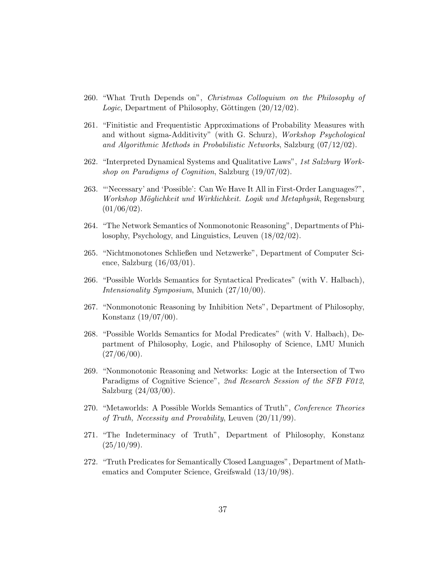- 260. "What Truth Depends on", Christmas Colloquium on the Philosophy of Logic, Department of Philosophy, Göttingen  $(20/12/02)$ .
- 261. "Finitistic and Frequentistic Approximations of Probability Measures with and without sigma-Additivity" (with G. Schurz), Workshop Psychological and Algorithmic Methods in Probabilistic Networks, Salzburg (07/12/02).
- 262. "Interpreted Dynamical Systems and Qualitative Laws", 1st Salzburg Workshop on Paradigms of Cognition, Salzburg (19/07/02).
- 263. "'Necessary' and 'Possible': Can We Have It All in First-Order Languages?", Workshop Möglichkeit und Wirklichkeit. Logik und Metaphysik, Regensburg  $(01/06/02)$ .
- 264. "The Network Semantics of Nonmonotonic Reasoning", Departments of Philosophy, Psychology, and Linguistics, Leuven (18/02/02).
- 265. "Nichtmonotones Schließen und Netzwerke", Department of Computer Science, Salzburg  $(16/03/01)$ .
- 266. "Possible Worlds Semantics for Syntactical Predicates" (with V. Halbach), Intensionality Symposium, Munich (27/10/00).
- 267. "Nonmonotonic Reasoning by Inhibition Nets", Department of Philosophy, Konstanz (19/07/00).
- 268. "Possible Worlds Semantics for Modal Predicates" (with V. Halbach), Department of Philosophy, Logic, and Philosophy of Science, LMU Munich  $(27/06/00)$ .
- 269. "Nonmonotonic Reasoning and Networks: Logic at the Intersection of Two Paradigms of Cognitive Science", 2nd Research Session of the SFB F012, Salzburg (24/03/00).
- 270. "Metaworlds: A Possible Worlds Semantics of Truth", Conference Theories of Truth, Necessity and Provability, Leuven (20/11/99).
- 271. "The Indeterminacy of Truth", Department of Philosophy, Konstanz  $(25/10/99).$
- 272. "Truth Predicates for Semantically Closed Languages", Department of Mathematics and Computer Science, Greifswald (13/10/98).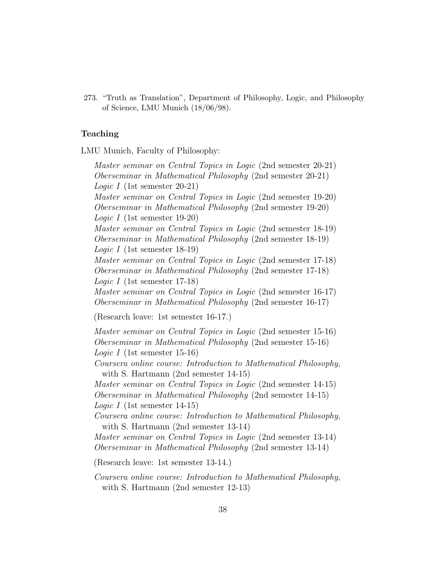273. "Truth as Translation", Department of Philosophy, Logic, and Philosophy of Science, LMU Munich (18/06/98).

# Teaching

LMU Munich, Faculty of Philosophy:

Master seminar on Central Topics in Logic (2nd semester 20-21) Oberseminar in Mathematical Philosophy (2nd semester 20-21) Logic I (1st semester 20-21) Master seminar on Central Topics in Logic (2nd semester 19-20) Oberseminar in Mathematical Philosophy (2nd semester 19-20) Logic I (1st semester 19-20) Master seminar on Central Topics in Logic (2nd semester 18-19) Oberseminar in Mathematical Philosophy (2nd semester 18-19) Logic I (1st semester 18-19) Master seminar on Central Topics in Logic (2nd semester 17-18) Oberseminar in Mathematical Philosophy (2nd semester 17-18) Logic I (1st semester 17-18) Master seminar on Central Topics in Logic (2nd semester 16-17) Oberseminar in Mathematical Philosophy (2nd semester 16-17) (Research leave: 1st semester 16-17.)

Master seminar on Central Topics in Logic (2nd semester 15-16) Oberseminar in Mathematical Philosophy (2nd semester 15-16) Logic I (1st semester 15-16)

Coursera online course: Introduction to Mathematical Philosophy, with S. Hartmann (2nd semester 14-15)

Master seminar on Central Topics in Logic (2nd semester 14-15) Oberseminar in Mathematical Philosophy (2nd semester 14-15) Logic I (1st semester 14-15)

Coursera online course: Introduction to Mathematical Philosophy, with S. Hartmann (2nd semester 13-14)

Master seminar on Central Topics in Logic (2nd semester 13-14) Oberseminar in Mathematical Philosophy (2nd semester 13-14)

(Research leave: 1st semester 13-14.)

Coursera online course: Introduction to Mathematical Philosophy, with S. Hartmann (2nd semester 12-13)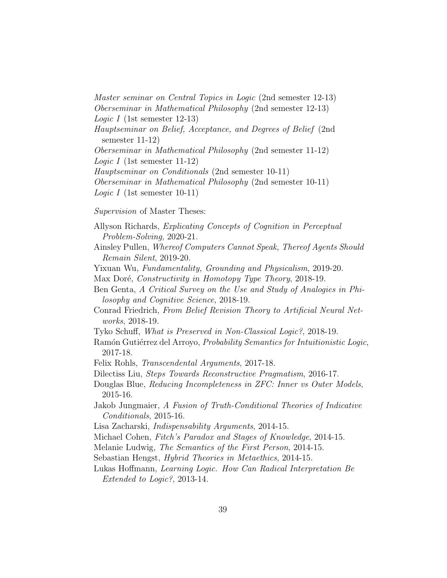Master seminar on Central Topics in Logic (2nd semester 12-13) Oberseminar in Mathematical Philosophy (2nd semester 12-13) Logic I (1st semester 12-13) Hauptseminar on Belief, Acceptance, and Degrees of Belief (2nd semester 11-12) Oberseminar in Mathematical Philosophy (2nd semester 11-12) Logic I (1st semester 11-12) Hauptseminar on Conditionals (2nd semester 10-11) Oberseminar in Mathematical Philosophy (2nd semester 10-11) Logic I (1st semester 10-11)

Supervision of Master Theses:

- Allyson Richards, Explicating Concepts of Cognition in Perceptual Problem-Solving, 2020-21.
- Ainsley Pullen, Whereof Computers Cannot Speak, Thereof Agents Should Remain Silent, 2019-20.
- Yixuan Wu, Fundamentality, Grounding and Physicalism, 2019-20.
- Max Doré, *Constructivity in Homotopy Type Theory*, 2018-19.
- Ben Genta, A Critical Survey on the Use and Study of Analogies in Philosophy and Cognitive Science, 2018-19.
- Conrad Friedrich, From Belief Revision Theory to Artificial Neural Networks, 2018-19.
- Tyko Schuff, What is Preserved in Non-Classical Logic?, 2018-19.
- Ramón Gutiérrez del Arroyo, *Probability Semantics for Intuitionistic Logic*, 2017-18.
- Felix Rohls, Transcendental Arguments, 2017-18.
- Dilectiss Liu, Steps Towards Reconstructive Pragmatism, 2016-17.
- Douglas Blue, Reducing Incompleteness in ZFC: Inner vs Outer Models, 2015-16.
- Jakob Jungmaier, A Fusion of Truth-Conditional Theories of Indicative Conditionals, 2015-16.
- Lisa Zacharski, Indispensability Arguments, 2014-15.
- Michael Cohen, Fitch's Paradox and Stages of Knowledge, 2014-15.
- Melanie Ludwig, The Semantics of the First Person, 2014-15.
- Sebastian Hengst, Hybrid Theories in Metaethics, 2014-15.
- Lukas Hoffmann, Learning Logic. How Can Radical Interpretation Be Extended to Logic?, 2013-14.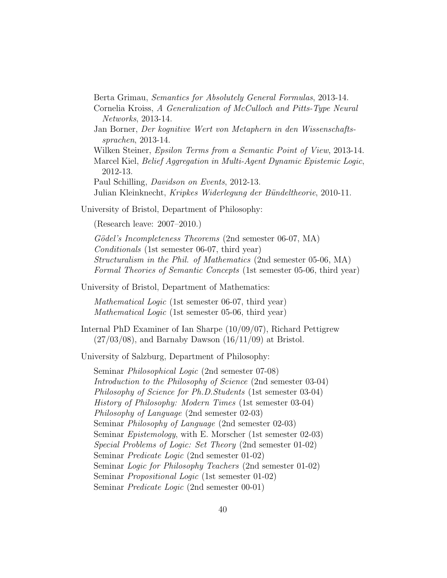Berta Grimau, Semantics for Absolutely General Formulas, 2013-14.

Cornelia Kroiss, A Generalization of McCulloch and Pitts-Type Neural Networks, 2013-14.

Jan Borner, Der kognitive Wert von Metaphern in den Wissenschaftssprachen, 2013-14.

Wilken Steiner, Epsilon Terms from a Semantic Point of View, 2013-14. Marcel Kiel, Belief Aggregation in Multi-Agent Dynamic Epistemic Logic, 2012-13.

Paul Schilling, Davidson on Events, 2012-13.

Julian Kleinknecht, Kripkes Widerlegung der Bündeltheorie, 2010-11.

University of Bristol, Department of Philosophy:

(Research leave: 2007–2010.)

Gödel's Incompleteness Theorems (2nd semester 06-07, MA) Conditionals (1st semester 06-07, third year) Structuralism in the Phil. of Mathematics (2nd semester 05-06, MA) Formal Theories of Semantic Concepts (1st semester 05-06, third year)

University of Bristol, Department of Mathematics:

Mathematical Logic (1st semester 06-07, third year) Mathematical Logic (1st semester 05-06, third year)

Internal PhD Examiner of Ian Sharpe (10/09/07), Richard Pettigrew  $(27/03/08)$ , and Barnaby Dawson  $(16/11/09)$  at Bristol.

University of Salzburg, Department of Philosophy:

Seminar Philosophical Logic (2nd semester 07-08) Introduction to the Philosophy of Science (2nd semester 03-04) Philosophy of Science for Ph.D.Students (1st semester 03-04) History of Philosophy: Modern Times (1st semester 03-04) Philosophy of Language (2nd semester 02-03) Seminar Philosophy of Language (2nd semester 02-03) Seminar *Epistemology*, with E. Morscher (1st semester 02-03) Special Problems of Logic: Set Theory (2nd semester 01-02) Seminar Predicate Logic (2nd semester 01-02) Seminar Logic for Philosophy Teachers (2nd semester 01-02) Seminar Propositional Logic (1st semester 01-02) Seminar Predicate Logic (2nd semester 00-01)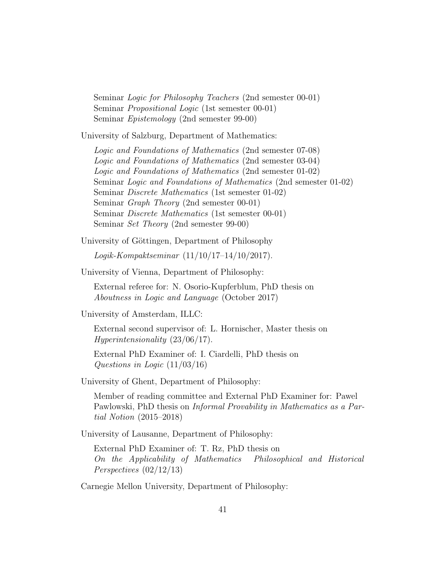Seminar *Logic for Philosophy Teachers* (2nd semester 00-01) Seminar Propositional Logic (1st semester 00-01) Seminar Epistemology (2nd semester 99-00)

University of Salzburg, Department of Mathematics:

Logic and Foundations of Mathematics (2nd semester 07-08) Logic and Foundations of Mathematics (2nd semester 03-04) Logic and Foundations of Mathematics (2nd semester 01-02) Seminar Logic and Foundations of Mathematics (2nd semester 01-02) Seminar Discrete Mathematics (1st semester 01-02) Seminar Graph Theory (2nd semester 00-01) Seminar Discrete Mathematics (1st semester 00-01) Seminar Set Theory (2nd semester 99-00)

University of Göttingen, Department of Philosophy

Logik-Kompaktseminar (11/10/17–14/10/2017).

University of Vienna, Department of Philosophy:

External referee for: N. Osorio-Kupferblum, PhD thesis on Aboutness in Logic and Language (October 2017)

University of Amsterdam, ILLC:

External second supervisor of: L. Hornischer, Master thesis on Hyperintensionality (23/06/17).

External PhD Examiner of: I. Ciardelli, PhD thesis on Questions in Logic (11/03/16)

University of Ghent, Department of Philosophy:

Member of reading committee and External PhD Examiner for: Pawel Pawlowski, PhD thesis on Informal Provability in Mathematics as a Partial Notion (2015–2018)

University of Lausanne, Department of Philosophy:

External PhD Examiner of: T. Rz, PhD thesis on On the Applicability of Mathematics Philosophical and Historical Perspectives (02/12/13)

Carnegie Mellon University, Department of Philosophy: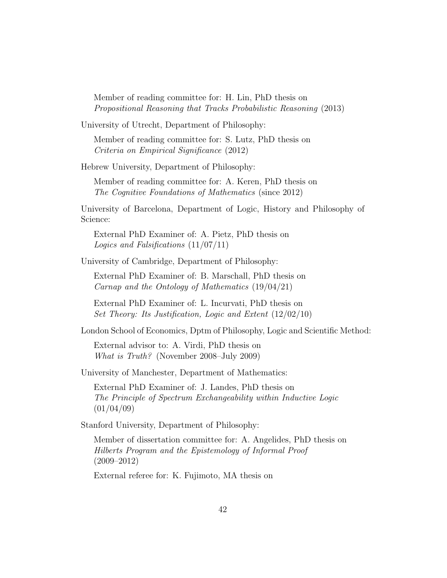Member of reading committee for: H. Lin, PhD thesis on Propositional Reasoning that Tracks Probabilistic Reasoning (2013)

University of Utrecht, Department of Philosophy:

Member of reading committee for: S. Lutz, PhD thesis on Criteria on Empirical Significance (2012)

Hebrew University, Department of Philosophy:

Member of reading committee for: A. Keren, PhD thesis on The Cognitive Foundations of Mathematics (since 2012)

University of Barcelona, Department of Logic, History and Philosophy of Science:

External PhD Examiner of: A. Pietz, PhD thesis on Logics and Falsifications (11/07/11)

University of Cambridge, Department of Philosophy:

External PhD Examiner of: B. Marschall, PhD thesis on Carnap and the Ontology of Mathematics (19/04/21)

External PhD Examiner of: L. Incurvati, PhD thesis on Set Theory: Its Justification, Logic and Extent (12/02/10)

London School of Economics, Dptm of Philosophy, Logic and Scientific Method:

External advisor to: A. Virdi, PhD thesis on What is Truth? (November 2008–July 2009)

University of Manchester, Department of Mathematics:

External PhD Examiner of: J. Landes, PhD thesis on The Principle of Spectrum Exchangeability within Inductive Logic  $(01/04/09)$ 

Stanford University, Department of Philosophy:

Member of dissertation committee for: A. Angelides, PhD thesis on Hilberts Program and the Epistemology of Informal Proof (2009–2012)

External referee for: K. Fujimoto, MA thesis on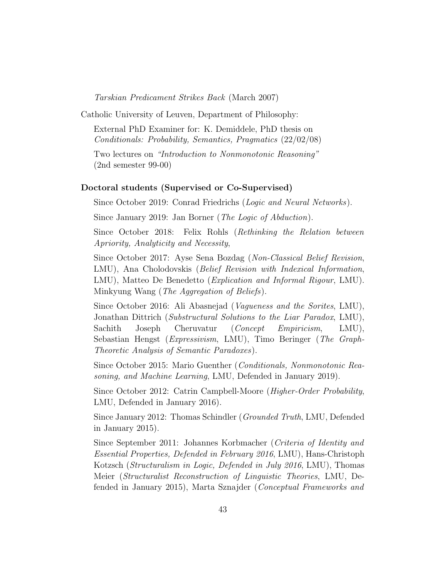Tarskian Predicament Strikes Back (March 2007)

Catholic University of Leuven, Department of Philosophy:

External PhD Examiner for: K. Demiddele, PhD thesis on Conditionals: Probability, Semantics, Pragmatics (22/02/08)

Two lectures on "Introduction to Nonmonotonic Reasoning" (2nd semester 99-00)

#### Doctoral students (Supervised or Co-Supervised)

Since October 2019: Conrad Friedrichs (Logic and Neural Networks).

Since January 2019: Jan Borner (*The Logic of Abduction*).

Since October 2018: Felix Rohls (Rethinking the Relation between Apriority, Analyticity and Necessity,

Since October 2017: Ayse Sena Bozdag (Non-Classical Belief Revision, LMU), Ana Cholodovskis (*Belief Revision with Indexical Information*, LMU), Matteo De Benedetto (Explication and Informal Rigour, LMU). Minkyung Wang (The Aggregation of Beliefs).

Since October 2016: Ali Abasnejad (Vagueness and the Sorites, LMU), Jonathan Dittrich (Substructural Solutions to the Liar Paradox, LMU), Sachith Joseph Cheruvatur (*Concept Empiricism*, LMU), Sebastian Hengst (Expressivism, LMU), Timo Beringer (The Graph-Theoretic Analysis of Semantic Paradoxes).

Since October 2015: Mario Guenther (Conditionals, Nonmonotonic Reasoning, and Machine Learning, LMU, Defended in January 2019).

Since October 2012: Catrin Campbell-Moore (Higher-Order Probability, LMU, Defended in January 2016).

Since January 2012: Thomas Schindler (Grounded Truth, LMU, Defended in January 2015).

Since September 2011: Johannes Korbmacher (Criteria of Identity and Essential Properties, Defended in February 2016, LMU), Hans-Christoph Kotzsch (Structuralism in Logic, Defended in July 2016, LMU), Thomas Meier (Structuralist Reconstruction of Linguistic Theories, LMU, Defended in January 2015), Marta Sznajder (Conceptual Frameworks and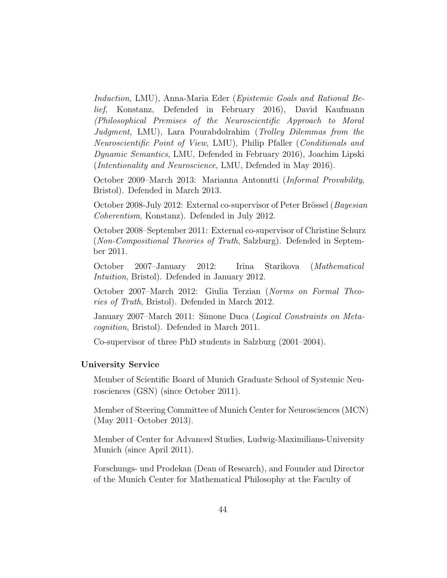Induction, LMU), Anna-Maria Eder (Epistemic Goals and Rational Belief, Konstanz, Defended in February 2016), David Kaufmann (Philosophical Premises of the Neuroscientific Approach to Moral Judgment, LMU), Lara Pourabdolrahim (Trolley Dilemmas from the Neuroscientific Point of View, LMU), Philip Pfaller (Conditionals and Dynamic Semantics, LMU, Defended in February 2016), Joachim Lipski (Intentionality and Neuroscience, LMU, Defended in May 2016).

October 2009–March 2013: Marianna Antonutti (Informal Provability, Bristol). Defended in March 2013.

October 2008-July 2012: External co-supervisor of Peter Brössel (Bayesian Coherentism, Konstanz). Defended in July 2012.

October 2008–September 2011: External co-supervisor of Christine Schurz (Non-Compositional Theories of Truth, Salzburg). Defended in September 2011.

October 2007–January 2012: Irina Starikova (Mathematical Intuition, Bristol). Defended in January 2012.

October 2007–March 2012: Giulia Terzian (Norms on Formal Theories of Truth, Bristol). Defended in March 2012.

January 2007–March 2011: Simone Duca (Logical Constraints on Metacognition, Bristol). Defended in March 2011.

Co-supervisor of three PhD students in Salzburg (2001–2004).

# University Service

Member of Scientific Board of Munich Graduate School of Systemic Neurosciences (GSN) (since October 2011).

Member of Steering Committee of Munich Center for Neurosciences (MCN) (May 2011–October 2013).

Member of Center for Advanced Studies, Ludwig-Maximilians-University Munich (since April 2011).

Forschungs- und Prodekan (Dean of Research), and Founder and Director of the Munich Center for Mathematical Philosophy at the Faculty of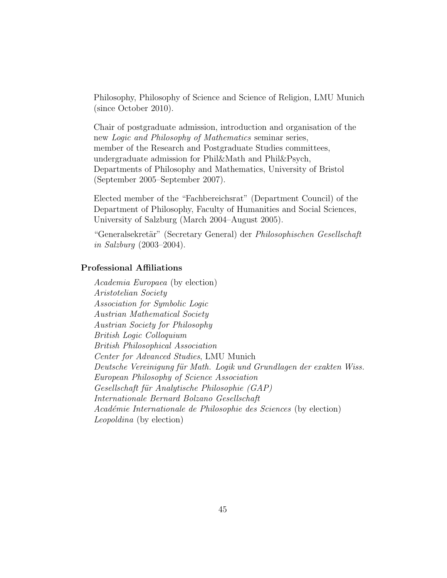Philosophy, Philosophy of Science and Science of Religion, LMU Munich (since October 2010).

Chair of postgraduate admission, introduction and organisation of the new Logic and Philosophy of Mathematics seminar series, member of the Research and Postgraduate Studies committees, undergraduate admission for Phil&Math and Phil&Psych, Departments of Philosophy and Mathematics, University of Bristol (September 2005–September 2007).

Elected member of the "Fachbereichsrat" (Department Council) of the Department of Philosophy, Faculty of Humanities and Social Sciences, University of Salzburg (March 2004–August 2005).

"Generalsekretär" (Secretary General) der Philosophischen Gesellschaft in Salzburg (2003–2004).

# Professional Affiliations

Academia Europaea (by election) Aristotelian Society Association for Symbolic Logic Austrian Mathematical Society Austrian Society for Philosophy British Logic Colloquium British Philosophical Association Center for Advanced Studies, LMU Munich Deutsche Vereinigung für Math. Logik und Grundlagen der exakten Wiss. European Philosophy of Science Association Gesellschaft für Analytische Philosophie (GAP) Internationale Bernard Bolzano Gesellschaft Académie Internationale de Philosophie des Sciences (by election) Leopoldina (by election)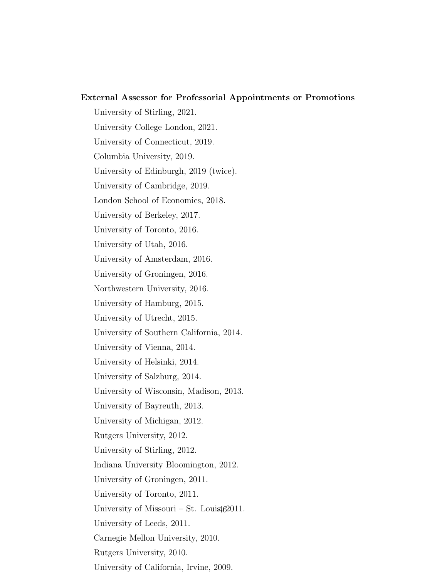External Assessor for Professorial Appointments or Promotions University of Stirling, 2021. University College London, 2021. University of Connecticut, 2019. Columbia University, 2019. University of Edinburgh, 2019 (twice). University of Cambridge, 2019. London School of Economics, 2018. University of Berkeley, 2017. University of Toronto, 2016. University of Utah, 2016. University of Amsterdam, 2016. University of Groningen, 2016. Northwestern University, 2016. University of Hamburg, 2015. University of Utrecht, 2015. University of Southern California, 2014. University of Vienna, 2014. University of Helsinki, 2014. University of Salzburg, 2014. University of Wisconsin, Madison, 2013. University of Bayreuth, 2013. University of Michigan, 2012. Rutgers University, 2012. University of Stirling, 2012. Indiana University Bloomington, 2012. University of Groningen, 2011. University of Toronto, 2011. University of Missouri – St. Louis $462011$ . University of Leeds, 2011. Carnegie Mellon University, 2010. Rutgers University, 2010.

University of California, Irvine, 2009.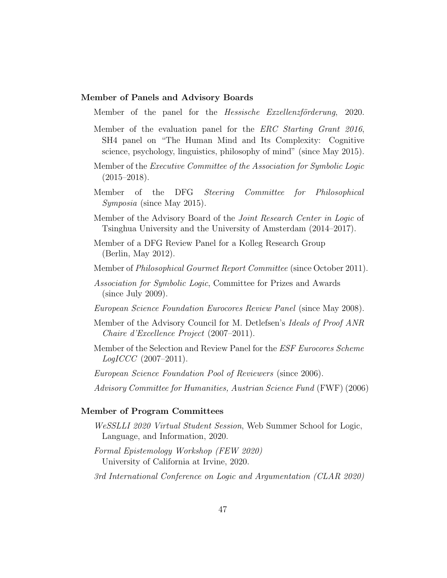# Member of Panels and Advisory Boards

Member of the panel for the *Hessische Exzellenzförderung*, 2020.

- Member of the evaluation panel for the *ERC Starting Grant 2016*, SH4 panel on "The Human Mind and Its Complexity: Cognitive science, psychology, linguistics, philosophy of mind" (since May 2015).
- Member of the Executive Committee of the Association for Symbolic Logic  $(2015-2018).$
- Member of the DFG Steering Committee for Philosophical Symposia (since May 2015).
- Member of the Advisory Board of the Joint Research Center in Logic of Tsinghua University and the University of Amsterdam (2014–2017).
- Member of a DFG Review Panel for a Kolleg Research Group (Berlin, May 2012).
- Member of Philosophical Gourmet Report Committee (since October 2011).
- Association for Symbolic Logic, Committee for Prizes and Awards (since July 2009).
- European Science Foundation Eurocores Review Panel (since May 2008).
- Member of the Advisory Council for M. Detlefsen's Ideals of Proof ANR Chaire d'Excellence Project (2007–2011).
- Member of the Selection and Review Panel for the ESF Eurocores Scheme  $LogICCC (2007-2011).$
- European Science Foundation Pool of Reviewers (since 2006).
- Advisory Committee for Humanities, Austrian Science Fund (FWF) (2006)

# Member of Program Committees

- WeSSLLI 2020 Virtual Student Session, Web Summer School for Logic, Language, and Information, 2020.
- Formal Epistemology Workshop (FEW 2020) University of California at Irvine, 2020.
- 3rd International Conference on Logic and Argumentation (CLAR 2020)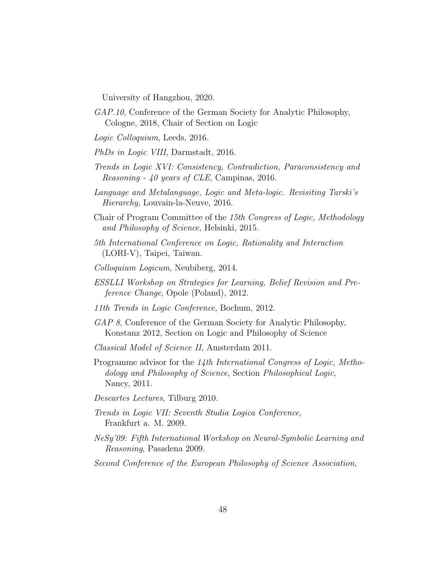University of Hangzhou, 2020.

- GAP.10, Conference of the German Society for Analytic Philosophy, Cologne, 2018, Chair of Section on Logic
- Logic Colloquium, Leeds, 2016.
- PhDs in Logic VIII, Darmstadt, 2016.
- Trends in Logic XVI: Consistency, Contradiction, Paraconsistency and Reasoning - 40 years of CLE, Campinas, 2016.
- Language and Metalanguage, Logic and Meta-logic. Revisiting Tarski's Hierarchy, Louvain-la-Neuve, 2016.
- Chair of Program Committee of the 15th Congress of Logic, Methodology and Philosophy of Science, Helsinki, 2015.
- 5th International Conference on Logic, Rationality and Interaction (LORI-V), Taipei, Taiwan.
- Colloquium Logicum, Neubiberg, 2014.
- ESSLLI Workshop on Strategies for Learning, Belief Revision and Preference Change, Opole (Poland), 2012.
- 11th Trends in Logic Conference, Bochum, 2012.
- GAP 8, Conference of the German Society for Analytic Philosophy, Konstanz 2012, Section on Logic and Philosophy of Science
- Classical Model of Science II, Amsterdam 2011.
- Programme advisor for the 14th International Congress of Logic, Methodology and Philosophy of Science, Section Philosophical Logic, Nancy, 2011.
- Descartes Lectures, Tilburg 2010.
- Trends in Logic VII: Seventh Studia Logica Conference, Frankfurt a. M. 2009.
- NeSy'09: Fifth International Workshop on Neural-Symbolic Learning and Reasoning, Pasadena 2009.
- Second Conference of the European Philosophy of Science Association,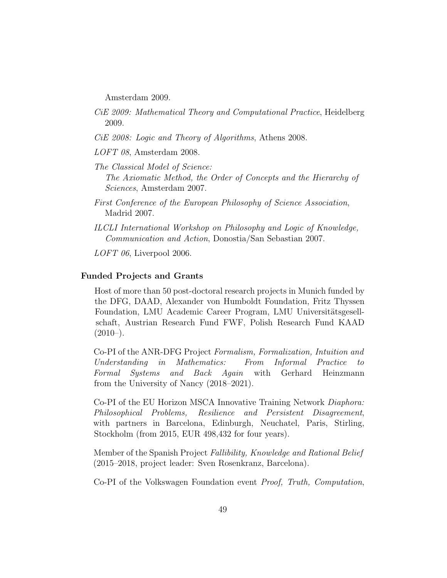Amsterdam 2009.

- CiE 2009: Mathematical Theory and Computational Practice, Heidelberg 2009.
- CiE 2008: Logic and Theory of Algorithms, Athens 2008.
- LOFT 08, Amsterdam 2008.
- The Classical Model of Science: The Axiomatic Method, the Order of Concepts and the Hierarchy of Sciences, Amsterdam 2007.
- First Conference of the European Philosophy of Science Association, Madrid 2007.
- ILCLI International Workshop on Philosophy and Logic of Knowledge, Communication and Action, Donostia/San Sebastian 2007.

LOFT 06, Liverpool 2006.

# Funded Projects and Grants

Host of more than 50 post-doctoral research projects in Munich funded by the DFG, DAAD, Alexander von Humboldt Foundation, Fritz Thyssen Foundation, LMU Academic Career Program, LMU Universitätsgesellschaft, Austrian Research Fund FWF, Polish Research Fund KAAD  $(2010–).$ 

Co-PI of the ANR-DFG Project Formalism, Formalization, Intuition and Understanding in Mathematics: From Informal Practice to Formal Systems and Back Again with Gerhard Heinzmann from the University of Nancy (2018–2021).

Co-PI of the EU Horizon MSCA Innovative Training Network Diaphora: Philosophical Problems, Resilience and Persistent Disagreement, with partners in Barcelona, Edinburgh, Neuchatel, Paris, Stirling, Stockholm (from 2015, EUR 498,432 for four years).

Member of the Spanish Project Fallibility, Knowledge and Rational Belief (2015–2018, project leader: Sven Rosenkranz, Barcelona).

Co-PI of the Volkswagen Foundation event Proof, Truth, Computation,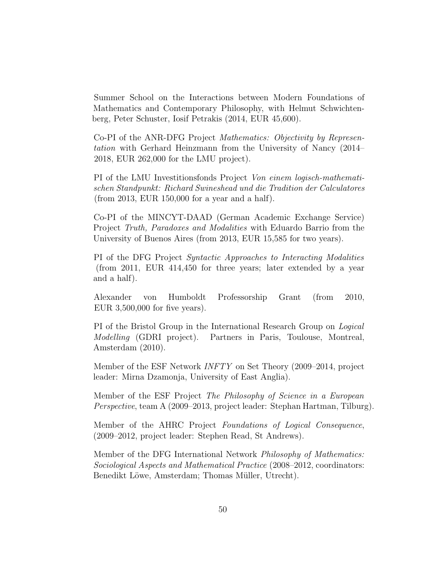Summer School on the Interactions between Modern Foundations of Mathematics and Contemporary Philosophy, with Helmut Schwichtenberg, Peter Schuster, Iosif Petrakis (2014, EUR 45,600).

Co-PI of the ANR-DFG Project Mathematics: Objectivity by Representation with Gerhard Heinzmann from the University of Nancy (2014– 2018, EUR 262,000 for the LMU project).

PI of the LMU Investitionsfonds Project Von einem logisch-mathematischen Standpunkt: Richard Swineshead und die Tradition der Calculatores (from 2013, EUR 150,000 for a year and a half).

Co-PI of the MINCYT-DAAD (German Academic Exchange Service) Project Truth, Paradoxes and Modalities with Eduardo Barrio from the University of Buenos Aires (from 2013, EUR 15,585 for two years).

PI of the DFG Project Syntactic Approaches to Interacting Modalities (from 2011, EUR 414,450 for three years; later extended by a year and a half).

Alexander von Humboldt Professorship Grant (from 2010, EUR 3,500,000 for five years).

PI of the Bristol Group in the International Research Group on Logical Modelling (GDRI project). Partners in Paris, Toulouse, Montreal, Amsterdam (2010).

Member of the ESF Network INFTY on Set Theory (2009–2014, project leader: Mirna Dzamonja, University of East Anglia).

Member of the ESF Project The Philosophy of Science in a European Perspective, team A (2009–2013, project leader: Stephan Hartman, Tilburg).

Member of the AHRC Project Foundations of Logical Consequence, (2009–2012, project leader: Stephen Read, St Andrews).

Member of the DFG International Network Philosophy of Mathematics: Sociological Aspects and Mathematical Practice (2008–2012, coordinators: Benedikt Löwe, Amsterdam; Thomas Müller, Utrecht).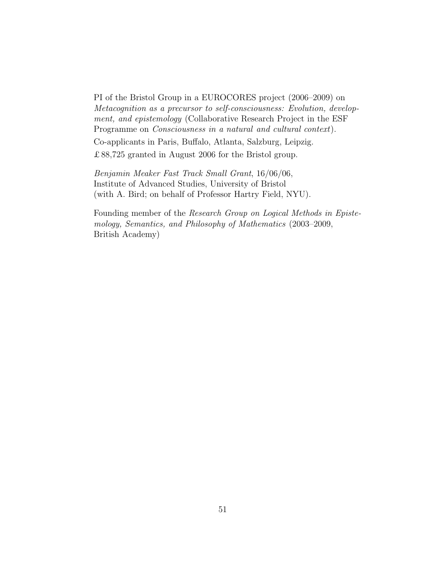PI of the Bristol Group in a EUROCORES project (2006–2009) on Metacognition as a precursor to self-consciousness: Evolution, development, and epistemology (Collaborative Research Project in the ESF Programme on Consciousness in a natural and cultural context).

Co-applicants in Paris, Buffalo, Atlanta, Salzburg, Leipzig.

£88,725 granted in August 2006 for the Bristol group.

Benjamin Meaker Fast Track Small Grant, 16/06/06, Institute of Advanced Studies, University of Bristol (with A. Bird; on behalf of Professor Hartry Field, NYU).

Founding member of the Research Group on Logical Methods in Epistemology, Semantics, and Philosophy of Mathematics (2003–2009, British Academy)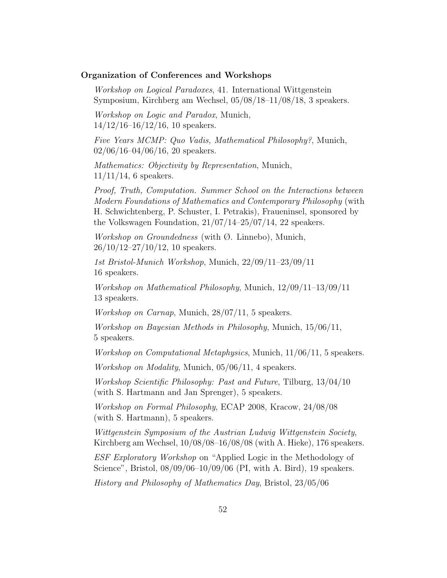# Organization of Conferences and Workshops

Workshop on Logical Paradoxes, 41. International Wittgenstein Symposium, Kirchberg am Wechsel, 05/08/18–11/08/18, 3 speakers.

Workshop on Logic and Paradox, Munich,  $14/12/16$ –16/12/16, 10 speakers.

Five Years MCMP: Quo Vadis, Mathematical Philosophy?, Munich,  $02/06/16-04/06/16$ , 20 speakers.

Mathematics: Objectivity by Representation, Munich,  $11/11/14$ , 6 speakers.

Proof, Truth, Computation. Summer School on the Interactions between Modern Foundations of Mathematics and Contemporary Philosophy (with H. Schwichtenberg, P. Schuster, I. Petrakis), Fraueninsel, sponsored by the Volkswagen Foundation, 21/07/14–25/07/14, 22 speakers.

Workshop on Groundedness (with Ø. Linnebo), Munich,  $26/10/12-27/10/12$ , 10 speakers.

1st Bristol-Munich Workshop, Munich, 22/09/11–23/09/11 16 speakers.

Workshop on Mathematical Philosophy, Munich, 12/09/11–13/09/11 13 speakers.

Workshop on Carnap, Munich, 28/07/11, 5 speakers.

Workshop on Bayesian Methods in Philosophy, Munich, 15/06/11, 5 speakers.

Workshop on Computational Metaphysics, Munich, 11/06/11, 5 speakers.

Workshop on Modality, Munich, 05/06/11, 4 speakers.

Workshop Scientific Philosophy: Past and Future, Tilburg, 13/04/10 (with S. Hartmann and Jan Sprenger), 5 speakers.

Workshop on Formal Philosophy, ECAP 2008, Kracow, 24/08/08 (with S. Hartmann), 5 speakers.

Wittgenstein Symposium of the Austrian Ludwig Wittgenstein Society, Kirchberg am Wechsel,  $10/08/08-16/08/08$  (with A. Hieke), 176 speakers.

ESF Exploratory Workshop on "Applied Logic in the Methodology of Science", Bristol, 08/09/06–10/09/06 (PI, with A. Bird), 19 speakers.

History and Philosophy of Mathematics Day, Bristol, 23/05/06